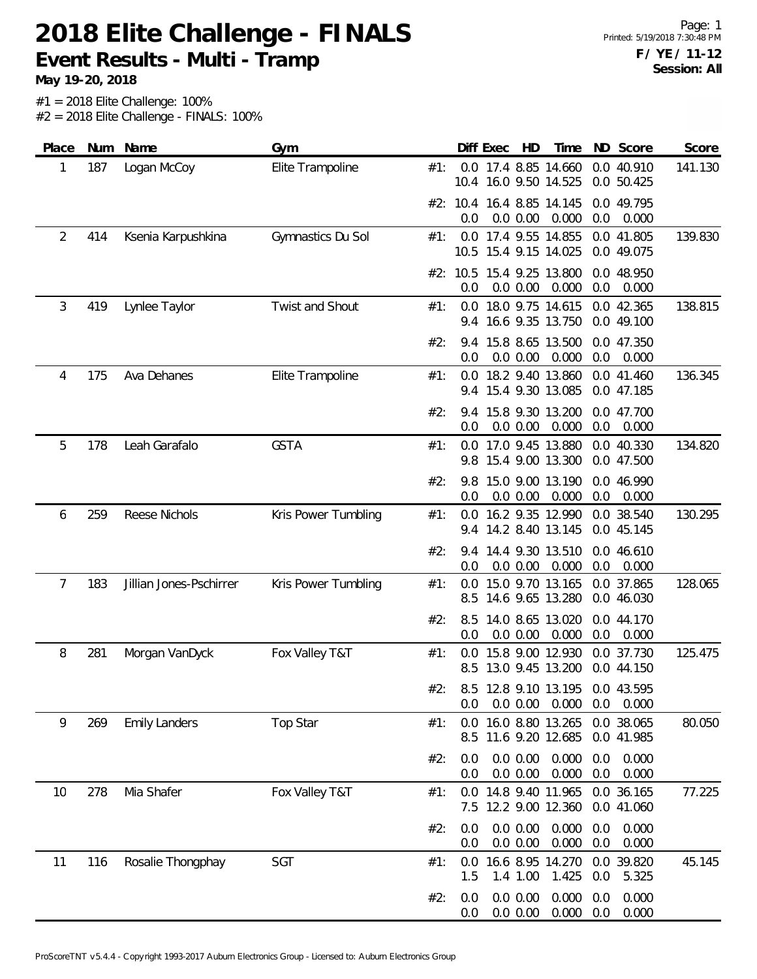**Event Results - Multi - Tramp**

| Place | Num | Name                    | Gym                 |     |            | Diff Exec | HD                   | Time                                          |            | ND Score                 | Score   |
|-------|-----|-------------------------|---------------------|-----|------------|-----------|----------------------|-----------------------------------------------|------------|--------------------------|---------|
| 1     | 187 | Logan McCoy             | Elite Trampoline    | #1: | 10.4       |           |                      | 0.0 17.4 8.85 14.660<br>16.0 9.50 14.525      |            | 0.0 40.910<br>0.0 50.425 | 141.130 |
|       |     |                         |                     |     | 0.0        |           | 0.0 0.00             | #2: 10.4 16.4 8.85 14.145<br>0.000            | 0.0        | 0.0 49.795<br>0.000      |         |
| 2     | 414 | Ksenia Karpushkina      | Gymnastics Du Sol   | #1: |            |           |                      | 0.0 17.4 9.55 14.855<br>10.5 15.4 9.15 14.025 |            | 0.0 41.805<br>0.0 49.075 | 139.830 |
|       |     |                         |                     |     | 0.0        |           | 0.0 0.00             | #2: 10.5 15.4 9.25 13.800<br>0.000            | 0.0        | 0.0 48.950<br>0.000      |         |
| 3     | 419 | Lynlee Taylor           | Twist and Shout     | #1: | 0.0        |           |                      | 18.0 9.75 14.615<br>9.4 16.6 9.35 13.750      |            | 0.0 42.365<br>0.0 49.100 | 138.815 |
|       |     |                         |                     | #2: | 0.0        |           | 0.0 0.00             | 9.4 15.8 8.65 13.500<br>0.000                 | 0.0        | 0.0 47.350<br>0.000      |         |
| 4     | 175 | Ava Dehanes             | Elite Trampoline    | #1: | 0.0        |           |                      | 18.2 9.40 13.860<br>9.4 15.4 9.30 13.085      |            | 0.0 41.460<br>0.0 47.185 | 136.345 |
|       |     |                         |                     | #2: | 9.4<br>0.0 |           | 0.0 0.00             | 15.8 9.30 13.200<br>0.000                     | 0.0        | 0.0 47.700<br>0.000      |         |
| 5     | 178 | Leah Garafalo           | <b>GSTA</b>         | #1: | 9.8        |           |                      | 0.0 17.0 9.45 13.880<br>15.4 9.00 13.300      |            | 0.0 40.330<br>0.0 47.500 | 134.820 |
|       |     |                         |                     | #2: | 9.8<br>0.0 |           | 0.0 0.00             | 15.0 9.00 13.190<br>0.000                     | 0.0        | 0.0 46.990<br>0.000      |         |
| 6     | 259 | Reese Nichols           | Kris Power Tumbling | #1: | 0.0        |           |                      | 16.2 9.35 12.990<br>9.4 14.2 8.40 13.145      |            | 0.0 38.540<br>0.0 45.145 | 130.295 |
|       |     |                         |                     | #2: | 9.4<br>0.0 |           | 0.0 0.00             | 14.4 9.30 13.510<br>0.000                     | 0.0        | 0.0 46.610<br>0.000      |         |
| 7     | 183 | Jillian Jones-Pschirrer | Kris Power Tumbling | #1: | 0.0<br>8.5 |           |                      | 15.0 9.70 13.165<br>14.6 9.65 13.280          |            | 0.0 37.865<br>0.0 46.030 | 128.065 |
|       |     |                         |                     | #2: | 8.5<br>0.0 |           | 0.0 0.00             | 14.0 8.65 13.020<br>0.000                     | 0.0        | 0.0 44.170<br>0.000      |         |
| 8     | 281 | Morgan VanDyck          | Fox Valley T&T      | #1: | 0.0<br>8.5 |           |                      | 15.8 9.00 12.930<br>13.0 9.45 13.200          |            | 0.0 37.730<br>0.0 44.150 | 125.475 |
|       |     |                         |                     | #2: | 0.0        |           | 0.0 0.00             | 8.5 12.8 9.10 13.195<br>0.000                 | 0.0        | 0.0 43.595<br>0.000      |         |
| 9     | 269 | <b>Emily Landers</b>    | Top Star            | #1: | 0.0<br>8.5 |           |                      | 16.0 8.80 13.265<br>11.6 9.20 12.685          |            | 0.0 38.065<br>0.0 41.985 | 80.050  |
|       |     |                         |                     | #2: | 0.0<br>0.0 |           | 0.0 0.00<br>0.0 0.00 | 0.000<br>0.000                                | 0.0<br>0.0 | 0.000<br>0.000           |         |
| 10    | 278 | Mia Shafer              | Fox Valley T&T      | #1: | 0.0<br>7.5 |           |                      | 14.8 9.40 11.965<br>12.2 9.00 12.360          |            | 0.0 36.165<br>0.0 41.060 | 77.225  |
|       |     |                         |                     | #2: | 0.0<br>0.0 |           | 0.0 0.00<br>0.0 0.00 | 0.000<br>0.000                                | 0.0<br>0.0 | 0.000<br>0.000           |         |
| 11    | 116 | Rosalie Thongphay       | SGT                 | #1: | 0.0<br>1.5 |           | 1.4 1.00             | 16.6 8.95 14.270<br>1.425                     | 0.0        | 0.0 39.820<br>5.325      | 45.145  |
|       |     |                         |                     | #2: | 0.0<br>0.0 |           | 0.0 0.00<br>0.0 0.00 | 0.000<br>0.000                                | 0.0<br>0.0 | 0.000<br>0.000           |         |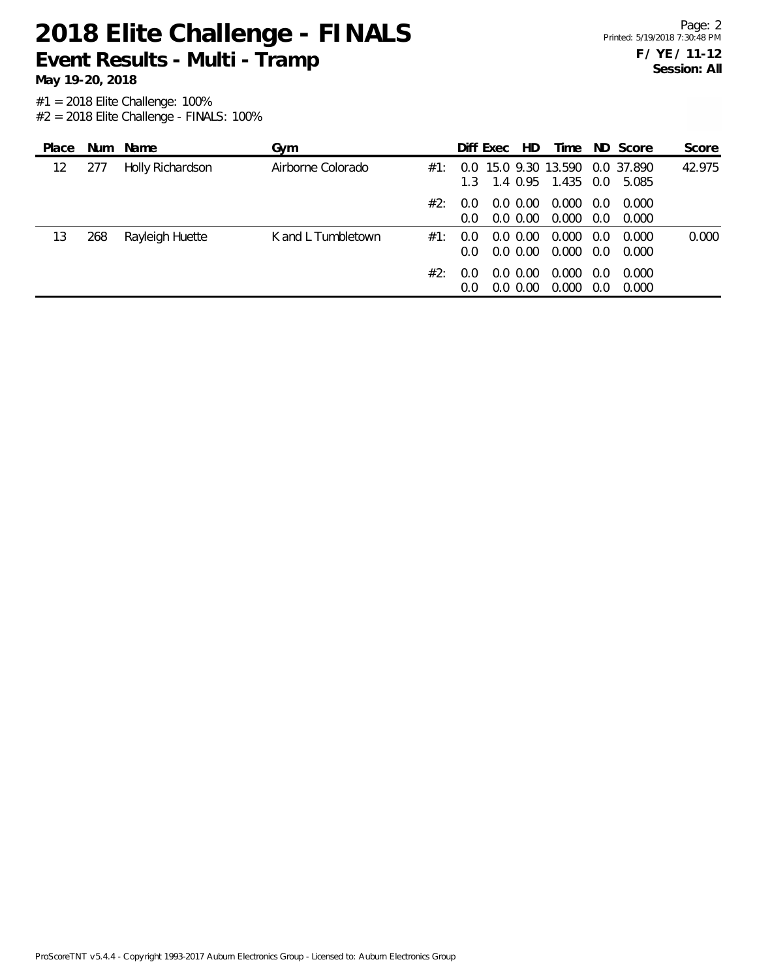**Event Results - Multi - Tramp**

**May 19-20, 2018**

| Place |     | Num Name         | Gvm                |     |                  | Diff Exec | HD.                        | Time                                                      |                      | ND Score       | Score  |
|-------|-----|------------------|--------------------|-----|------------------|-----------|----------------------------|-----------------------------------------------------------|----------------------|----------------|--------|
| 12    | 277 | Holly Richardson | Airborne Colorado  | #1: |                  |           |                            | 0.0 15.0 9.30 13.590 0.0 37.890<br>1.3 1.4 0.95 1.435 0.0 |                      | 5.085          | 42.975 |
|       |     |                  |                    | #2: | 0.O<br>0.0       |           | $0.0\,0.00$<br>$0.0\,0.00$ | 0.000<br>0.000                                            | $0.0^{\circ}$<br>0.0 | 0.000<br>0.000 |        |
| 13    | 268 | Rayleigh Huette  | K and L Tumbletown | #1: | 0.O<br>0.0       |           | $0.0\,0.00$<br>$0.0\,0.00$ | 0.000<br>0.000                                            | 0.0<br>0.0           | 0.000<br>0.000 | 0.000  |
|       |     |                  |                    | #2: | (1.0)<br>$0.0^-$ |           | $0.0\,0.00$<br>0.0, 0.00   | 0.000<br>0.000                                            | 0.0<br>0.0           | 0.000<br>0.000 |        |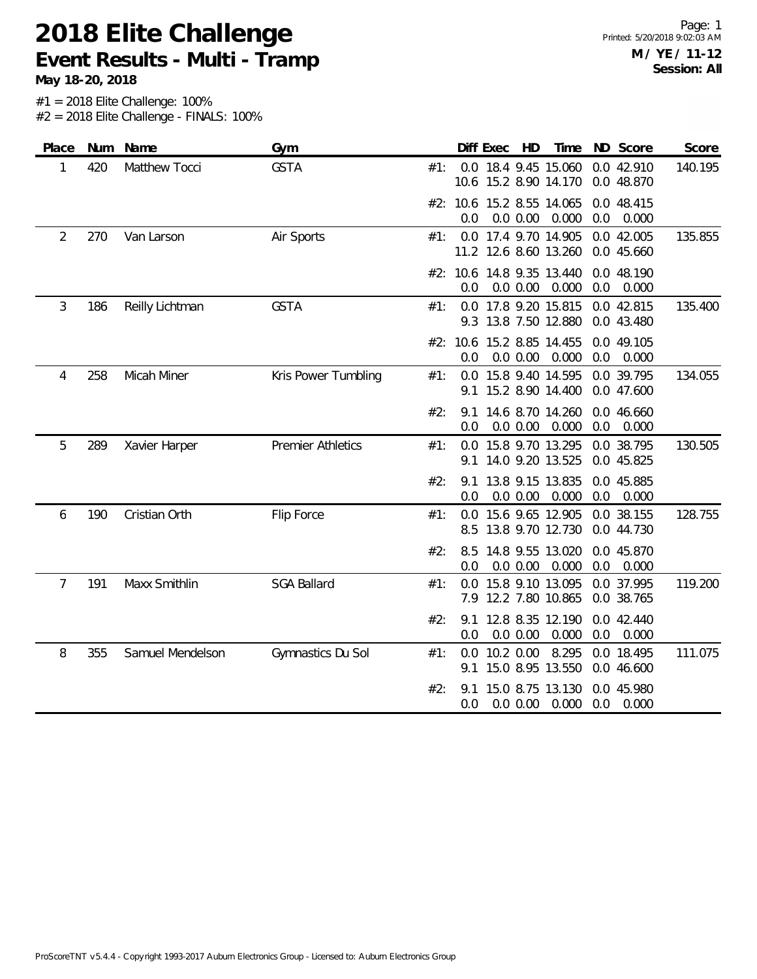### **2018 Elite Challenge Event Results - Multi - Tramp**

**May 18-20, 2018**

Page: 1 Printed: 5/20/2018 9:02:03 AM **M / YE / 11-12 Session: All**

| Place | Num | Name             | Gym                      |     | Diff Exec       |           | HD       | Time                                          |     | ND Score                 | Score   |
|-------|-----|------------------|--------------------------|-----|-----------------|-----------|----------|-----------------------------------------------|-----|--------------------------|---------|
| 1     | 420 | Matthew Tocci    | <b>GSTA</b>              | #1: |                 |           |          | 0.0 18.4 9.45 15.060<br>10.6 15.2 8.90 14.170 |     | 0.0 42.910<br>0.0 48.870 | 140.195 |
|       |     |                  |                          |     | 0.0             |           | 0.0 0.00 | #2: 10.6 15.2 8.55 14.065<br>0.000            | 0.0 | 0.0 48.415<br>0.000      |         |
| 2     | 270 | Van Larson       | Air Sports               | #1: |                 |           |          | 0.0 17.4 9.70 14.905<br>11.2 12.6 8.60 13.260 |     | 0.0 42.005<br>0.0 45.660 | 135.855 |
|       |     |                  |                          |     | 0.0             |           | 0.0 0.00 | #2: 10.6 14.8 9.35 13.440<br>0.000            | 0.0 | 0.0 48.190<br>0.000      |         |
| 3     | 186 | Reilly Lichtman  | <b>GSTA</b>              | #1: | 9.3             |           |          | 0.0 17.8 9.20 15.815<br>13.8 7.50 12.880      |     | 0.0 42.815<br>0.0 43.480 | 135.400 |
|       |     |                  |                          |     | #2: 10.6<br>0.0 |           | 0.0 0.00 | 15.2 8.85 14.455<br>0.000                     | 0.0 | 0.0 49.105<br>0.000      |         |
| 4     | 258 | Micah Miner      | Kris Power Tumbling      | #1: | 0.0<br>9.1      |           |          | 15.8 9.40 14.595<br>15.2 8.90 14.400          |     | 0.0 39.795<br>0.0 47.600 | 134.055 |
|       |     |                  |                          | #2: | 9.1<br>0.0      |           | 0.0 0.00 | 14.6 8.70 14.260<br>0.000                     | 0.0 | 0.0 46.660<br>0.000      |         |
| 5     | 289 | Xavier Harper    | <b>Premier Athletics</b> | #1: | 0.0<br>9.1      |           |          | 15.8 9.70 13.295<br>14.0 9.20 13.525          |     | 0.0 38.795<br>0.0 45.825 | 130.505 |
|       |     |                  |                          | #2: | 9.1<br>0.0      |           | 0.0 0.00 | 13.8 9.15 13.835<br>0.000                     | 0.0 | 0.0 45.885<br>0.000      |         |
| 6     | 190 | Cristian Orth    | Flip Force               | #1: | 0.0             |           |          | 15.6 9.65 12.905<br>8.5 13.8 9.70 12.730      |     | 0.0 38.155<br>0.0 44.730 | 128.755 |
|       |     |                  |                          | #2: | 8.5<br>0.0      |           | 0.0 0.00 | 14.8 9.55 13.020<br>0.000                     | 0.0 | 0.0 45.870<br>0.000      |         |
| 7     | 191 | Maxx Smithlin    | <b>SGA Ballard</b>       | #1: | 0.0<br>7.9      |           |          | 15.8 9.10 13.095<br>12.2 7.80 10.865          |     | 0.0 37.995<br>0.0 38.765 | 119.200 |
|       |     |                  |                          | #2: | 9.1<br>0.0      |           | 0.0 0.00 | 12.8 8.35 12.190<br>0.000                     | 0.0 | 0.0 42.440<br>0.000      |         |
| 8     | 355 | Samuel Mendelson | Gymnastics Du Sol        | #1: | 0.0<br>9.1      | 10.2 0.00 |          | 8.295<br>15.0 8.95 13.550                     |     | 0.0 18.495<br>0.0 46.600 | 111.075 |
|       |     |                  |                          | #2: | 9.1<br>0.0      |           | 0.0 0.00 | 15.0 8.75 13.130<br>0.000                     | 0.0 | 0.0 45.980<br>0.000      |         |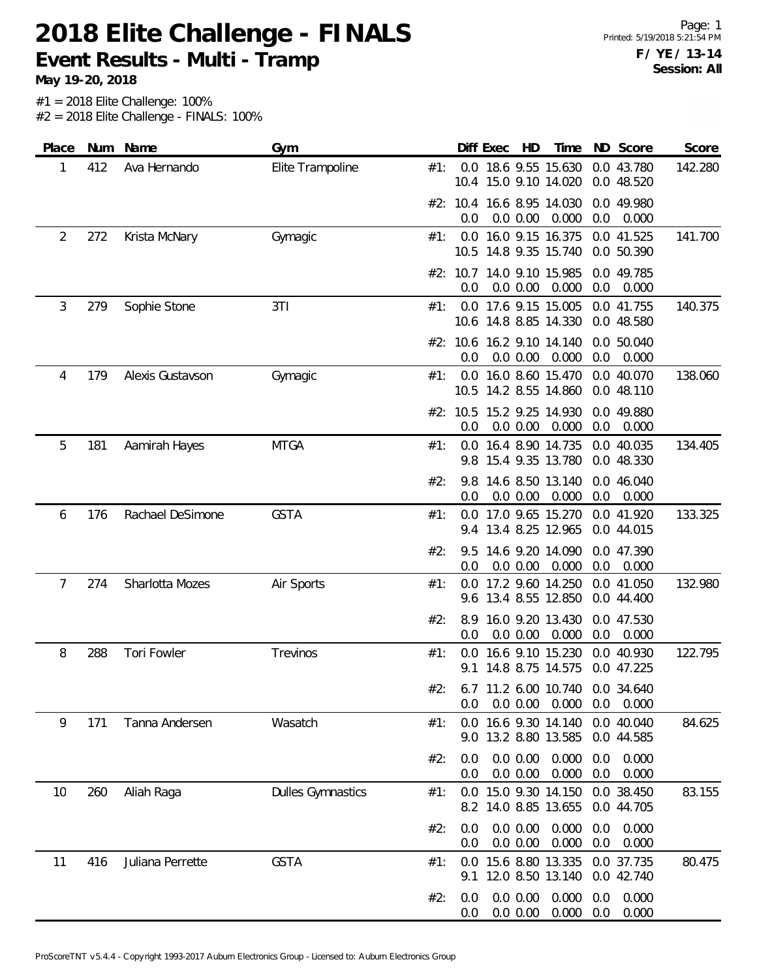**Event Results - Multi - Tramp**

| Place          | Num | Name             | Gym                      |     |            | Diff Exec | HD                   | Time                                          | ND         | Score                    | Score   |
|----------------|-----|------------------|--------------------------|-----|------------|-----------|----------------------|-----------------------------------------------|------------|--------------------------|---------|
| 1              | 412 | Ava Hernando     | Elite Trampoline         | #1: |            |           |                      | 0.0 18.6 9.55 15.630<br>10.4 15.0 9.10 14.020 |            | 0.0 43.780<br>0.0 48.520 | 142.280 |
|                |     |                  |                          |     | 0.0        |           | 0.0 0.00             | #2: 10.4 16.6 8.95 14.030<br>0.000            | 0.0        | 0.0 49.980<br>0.000      |         |
| $\overline{2}$ | 272 | Krista McNary    | Gymagic                  | #1: |            |           |                      | 0.0 16.0 9.15 16.375                          |            | 0.0 41.525               | 141.700 |
|                |     |                  |                          |     | 10.5       |           |                      | 14.8 9.35 15.740<br>#2: 10.7 14.0 9.10 15.985 |            | 0.0 50.390<br>0.0 49.785 |         |
|                |     |                  |                          |     | 0.0        |           | 0.0 0.00             | 0.000                                         | 0.0        | 0.000                    |         |
| 3              | 279 | Sophie Stone     | 3T1                      | #1: |            |           |                      | 0.0 17.6 9.15 15.005<br>10.6 14.8 8.85 14.330 |            | 0.0 41.755<br>0.0 48.580 | 140.375 |
|                |     |                  |                          |     | 0.0        |           | 0.0 0.00             | #2: 10.6 16.2 9.10 14.140<br>0.000            | 0.0        | 0.0 50.040<br>0.000      |         |
| 4              | 179 | Alexis Gustavson | Gymagic                  | #1: |            |           |                      | 0.0 16.0 8.60 15.470                          |            | 0.0 40.070               | 138.060 |
|                |     |                  |                          |     |            |           |                      | 10.5 14.2 8.55 14.860                         |            | 0.0 48.110               |         |
|                |     |                  |                          |     | 0.0        |           | 0.0 0.00             | #2: 10.5 15.2 9.25 14.930<br>0.000            | 0.0        | 0.0 49.880<br>0.000      |         |
| 5              | 181 | Aamirah Hayes    | <b>MTGA</b>              | #1: | 9.8        |           |                      | 0.0 16.4 8.90 14.735<br>15.4 9.35 13.780      |            | 0.0 40.035<br>0.0 48.330 | 134.405 |
|                |     |                  |                          | #2: | 9.8        |           |                      | 14.6 8.50 13.140                              |            | 0.0 46.040               |         |
|                |     |                  |                          |     | 0.0        |           | 0.0 0.00             | 0.000                                         | 0.0        | 0.000                    |         |
| 6              | 176 | Rachael DeSimone | <b>GSTA</b>              | #1: |            |           |                      | 0.0 17.0 9.65 15.270<br>9.4 13.4 8.25 12.965  |            | 0.0 41.920<br>0.0 44.015 | 133.325 |
|                |     |                  |                          | #2: | 9.5<br>0.0 |           |                      | 14.6 9.20 14.090                              | 0.0        | 0.0 47.390               |         |
| 7              | 274 | Sharlotta Mozes  | Air Sports               | #1: | 0.0        |           | 0.0 0.00             | 0.000<br>17.2 9.60 14.250                     |            | 0.000<br>0.0 41.050      | 132.980 |
|                |     |                  |                          |     |            |           |                      | 9.6 13.4 8.55 12.850                          |            | 0.0 44.400               |         |
|                |     |                  |                          | #2: | 8.9<br>0.0 |           | 0.0 0.00             | 16.0 9.20 13.430<br>0.000                     | 0.0        | 0.0 47.530<br>0.000      |         |
| 8              | 288 | Tori Fowler      | Trevinos                 | #1: | 0.0<br>9.1 |           |                      | 16.6 9.10 15.230<br>14.8 8.75 14.575          |            | 0.0 40.930<br>0.0 47.225 | 122.795 |
|                |     |                  |                          | #2: |            |           |                      | 6.7 11.2 6.00 10.740                          |            | 0.0 34.640               |         |
| 9              | 171 | Tanna Andersen   | Wasatch                  | #1: | 0.0<br>0.0 |           | 0.0 0.00             | 0.000<br>16.6 9.30 14.140                     | 0.0        | 0.000<br>0.0 40.040      | 84.625  |
|                |     |                  |                          |     |            |           |                      | 9.0 13.2 8.80 13.585                          |            | 0.0 44.585               |         |
|                |     |                  |                          | #2: | 0.0<br>0.0 |           | 0.0 0.00<br>0.0 0.00 | 0.000<br>0.000                                | 0.0<br>0.0 | 0.000<br>0.000           |         |
| 10             | 260 | Aliah Raga       | <b>Dulles Gymnastics</b> | #1: | 0.0        |           |                      | 15.0 9.30 14.150                              |            | 0.0 38.450               | 83.155  |
|                |     |                  |                          |     |            |           |                      | 8.2 14.0 8.85 13.655                          |            | 0.0 44.705               |         |
|                |     |                  |                          | #2: | 0.0<br>0.0 |           | 0.0 0.00<br>0.0 0.00 | 0.000<br>0.000                                | 0.0<br>0.0 | 0.000<br>0.000           |         |
| 11             | 416 | Juliana Perrette | <b>GSTA</b>              | #1: | 0.0<br>9.1 |           |                      | 15.6 8.80 13.335<br>12.0 8.50 13.140          |            | 0.0 37.735<br>0.0 42.740 | 80.475  |
|                |     |                  |                          | #2: | 0.0<br>0.0 |           | 0.0 0.00<br>0.0 0.00 | 0.000<br>0.000                                | 0.0<br>0.0 | 0.000<br>0.000           |         |
|                |     |                  |                          |     |            |           |                      |                                               |            |                          |         |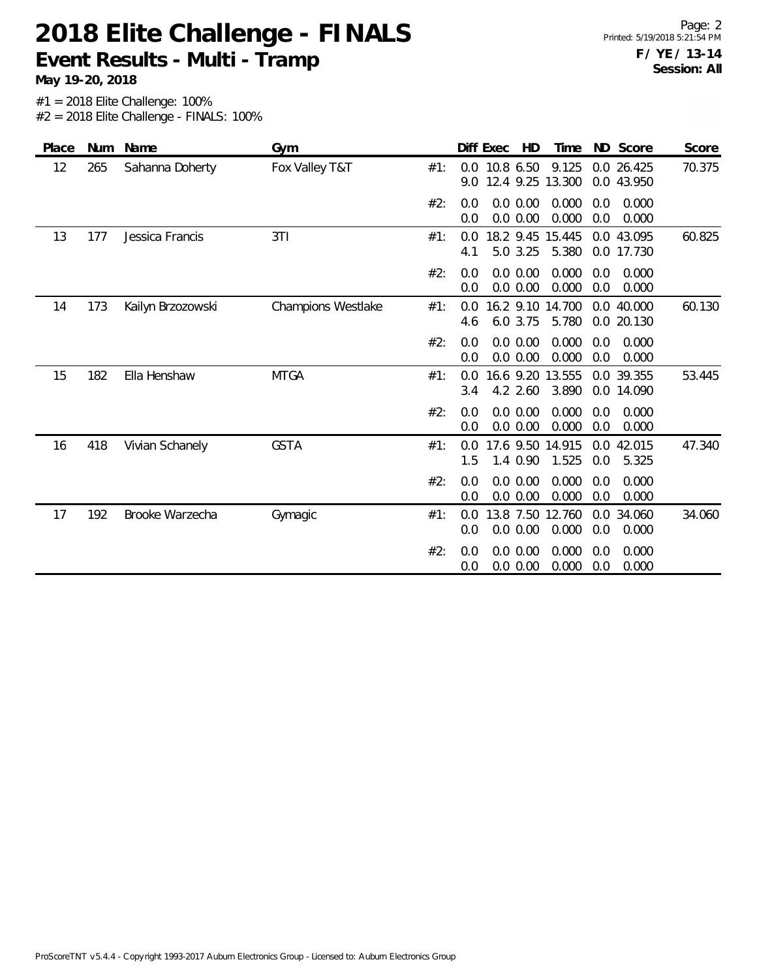**Event Results - Multi - Tramp**

**May 19-20, 2018**

| Place | Num | Name              | Gym                |     | Diff Exec<br>ND Score<br>HD<br>Time<br>Score                                                                |
|-------|-----|-------------------|--------------------|-----|-------------------------------------------------------------------------------------------------------------|
| 12    | 265 | Sahanna Doherty   | Fox Valley T&T     | #1: | 9.125<br>70.375<br>0.0 10.8 6.50<br>0.0 26.425<br>12.4 9.25<br>13.300<br>0.0 43.950<br>9.0                  |
|       |     |                   |                    | #2: | 0.0 0.00<br>0.000<br>0.000<br>0.0<br>0.0<br>0.0 0.00<br>0.000<br>0.0<br>0.000<br>0.0                        |
| 13    | 177 | Jessica Francis   | 3T1                | #1: | 18.2 9.45 15.445<br>0.0 43.095<br>60.825<br>$0.0^{\circ}$<br>5.0 3.25<br>5.380<br>4.1<br>0.0 17.730         |
|       |     |                   |                    | #2: | 0.000<br>0.0 0.00<br>0.000<br>0.0<br>0.0<br>0.0 0.00<br>0.000<br>0.0<br>0.000<br>0.0                        |
| 14    | 173 | Kailyn Brzozowski | Champions Westlake | #1: | $16.2$ 9.10<br>14.700<br>60.130<br>0.0 40.000<br>0.0<br>6.0 3.75<br>5.780<br>0.0 20.130<br>4.6              |
|       |     |                   |                    | #2: | 0.000<br>0.0<br>0.0 0.00<br>0.000<br>0.0<br>0.0 0.00<br>0.000<br>0.0<br>0.000<br>0.0                        |
| 15    | 182 | Ella Henshaw      | <b>MTGA</b>        | #1: | 16.6 9.20<br>13.555<br>0.0 39.355<br>53.445<br>0.0<br>4.2 2.60<br>3.890<br>0.0 14.090<br>3.4                |
|       |     |                   |                    | #2: | 0.000<br>0.0<br>0.0 0.00<br>0.0<br>0.000<br>0.000<br>0.0 0.00<br>0.0<br>0.000<br>0.0                        |
| 16    | 418 | Vivian Schanely   | <b>GSTA</b>        | #1: | 47.340<br>17.6 9.50<br>14.915<br>42.015<br>0.0<br>0.0<br>1.5<br>1.4 0.90<br>1.525<br>0.0<br>5.325           |
|       |     |                   |                    | #2: | 0.0<br>0.0 0.00<br>0.000<br>0.000<br>0.0<br>0.000<br>0.0 0.00<br>0.0<br>0.000<br>0.0                        |
| 17    | 192 | Brooke Warzecha   | Gymagic            | #1: | 13.8 7.50<br>12.760<br>34.060<br>34.060<br>0.0<br>$0.0^{\circ}$<br>0.000<br>0.0<br>0.0 0.00<br>0.0<br>0.000 |
|       |     |                   |                    | #2: | 0.0 0.00<br>0.000<br>0.000<br>0.0<br>0.0<br>0.000<br>0.0<br>0.000<br>0.0<br>0.0 0.00                        |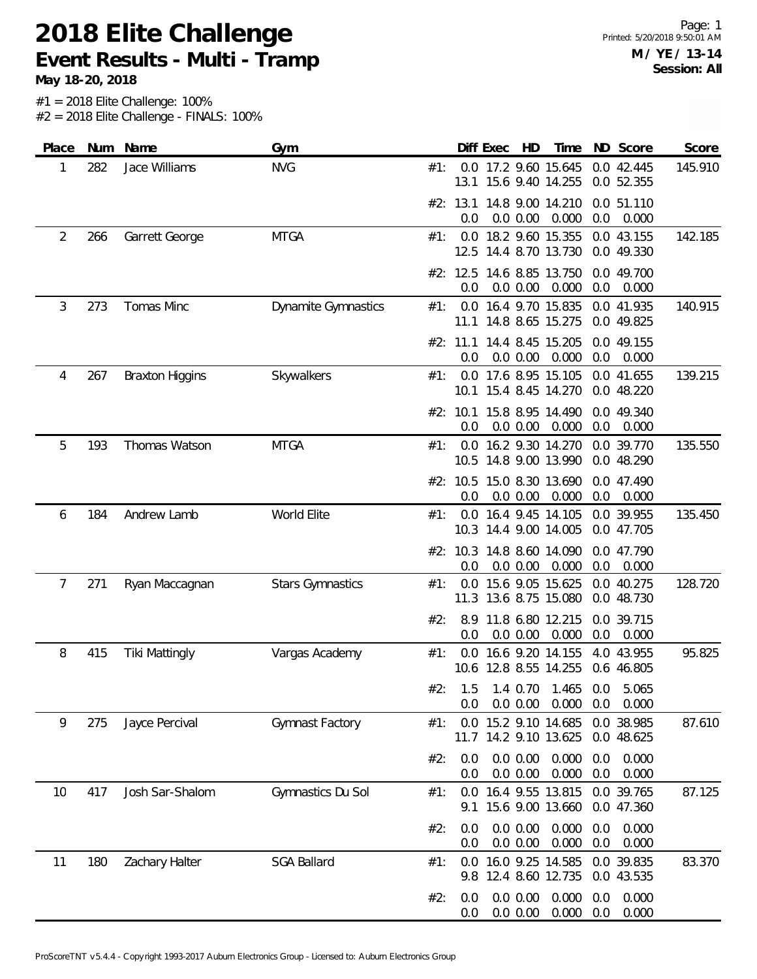**2018 Elite Challenge Event Results - Multi - Tramp**

**May 18-20, 2018**

| Place          | Num | Name                   | Gym                        |     |                 | Diff Exec | HD                   | Time                                          |            | ND Score                 | Score   |
|----------------|-----|------------------------|----------------------------|-----|-----------------|-----------|----------------------|-----------------------------------------------|------------|--------------------------|---------|
| 1              | 282 | Jace Williams          | <b>NVG</b>                 | #1: | 13.1            |           |                      | 0.0 17.2 9.60 15.645<br>15.6 9.40 14.255      |            | 0.0 42.445<br>0.0 52.355 | 145.910 |
|                |     |                        |                            |     | #2: 13.1<br>0.0 |           | 0.0 0.00             | 14.8 9.00 14.210<br>0.000                     | 0.0        | 0.0 51.110<br>0.000      |         |
| $\overline{2}$ | 266 | Garrett George         | <b>MTGA</b>                | #1: |                 |           |                      | 0.0 18.2 9.60 15.355<br>12.5 14.4 8.70 13.730 |            | 0.0 43.155<br>0.0 49.330 | 142.185 |
|                |     |                        |                            |     | #2: 12.5<br>0.0 |           | 0.0 0.00             | 14.6 8.85 13.750<br>0.000                     | 0.0        | 0.0 49.700<br>0.000      |         |
| 3              | 273 | Tomas Minc             | <b>Dynamite Gymnastics</b> | #1: | 0.0<br>11.1     |           |                      | 16.4 9.70 15.835<br>14.8 8.65 15.275          |            | 0.0 41.935<br>0.0 49.825 | 140.915 |
|                |     |                        |                            |     | #2: 11.1<br>0.0 |           | 0.0 0.00             | 14.4 8.45 15.205<br>0.000                     | 0.0        | 0.0 49.155<br>0.000      |         |
| 4              | 267 | <b>Braxton Higgins</b> | Skywalkers                 | #1: | 0.0             |           |                      | 17.6 8.95 15.105<br>10.1 15.4 8.45 14.270     |            | 0.0 41.655<br>0.0 48.220 | 139.215 |
|                |     |                        |                            |     | 0.0             |           | 0.0 0.00             | #2: 10.1 15.8 8.95 14.490<br>0.000            | 0.0        | 0.0 49.340<br>0.000      |         |
| 5              | 193 | Thomas Watson          | <b>MTGA</b>                | #1: |                 |           |                      | 0.0 16.2 9.30 14.270<br>10.5 14.8 9.00 13.990 |            | 0.0 39.770<br>0.0 48.290 | 135.550 |
|                |     |                        |                            |     | #2: 10.5<br>0.0 |           | 0.0 0.00             | 15.0 8.30 13.690<br>0.000                     | 0.0        | 0.0 47.490<br>0.000      |         |
| 6              | 184 | Andrew Lamb            | World Elite                | #1: | 0.0             |           |                      | 16.4 9.45 14.105<br>10.3 14.4 9.00 14.005     |            | 0.0 39.955<br>0.0 47.705 | 135.450 |
|                |     |                        |                            |     | 0.0             |           | 0.0 0.00             | #2: 10.3 14.8 8.60 14.090<br>0.000            | 0.0        | 0.0 47.790<br>0.000      |         |
| 7              | 271 | Ryan Maccagnan         | <b>Stars Gymnastics</b>    | #1: | 0.0<br>11.3     |           |                      | 15.6 9.05 15.625<br>13.6 8.75 15.080          |            | 0.0 40.275<br>0.0 48.730 | 128.720 |
|                |     |                        |                            | #2: | 8.9<br>0.0      |           | 0.0 0.00             | 11.8 6.80 12.215<br>0.000                     | 0.0        | 0.0 39.715<br>0.000      |         |
| 8              | 415 | <b>Tiki Mattingly</b>  | Vargas Academy             | #1: | 0.0             |           |                      | 16.6 9.20 14.155<br>10.6 12.8 8.55 14.255     |            | 4.0 43.955<br>0.6 46.805 | 95.825  |
|                |     |                        |                            | #2: | 1.5<br>0.0      |           | 0.0 0.00             | 1.4 0.70 1.465 0.0<br>0.000                   | 0.0        | 5.065<br>0.000           |         |
| 9              | 275 | Jayce Percival         | Gymnast Factory            | #1: | 0.0             |           |                      | 15.2 9.10 14.685<br>11.7 14.2 9.10 13.625     |            | 0.0 38.985<br>0.0 48.625 | 87.610  |
|                |     |                        |                            | #2: | 0.0<br>0.0      |           | 0.0 0.00<br>0.0 0.00 | 0.000<br>0.000                                | 0.0<br>0.0 | 0.000<br>0.000           |         |
| 10             | 417 | Josh Sar-Shalom        | Gymnastics Du Sol          | #1: | 9.1             |           |                      | 0.0 16.4 9.55 13.815<br>15.6 9.00 13.660      |            | 0.0 39.765<br>0.0 47.360 | 87.125  |
|                |     |                        |                            | #2: | 0.0<br>0.0      |           | 0.0 0.00<br>0.0 0.00 | 0.000<br>0.000                                | 0.0<br>0.0 | 0.000<br>0.000           |         |
| 11             | 180 | Zachary Halter         | <b>SGA Ballard</b>         | #1: | 0.0<br>9.8      |           |                      | 16.0 9.25 14.585<br>12.4 8.60 12.735          |            | 0.0 39.835<br>0.0 43.535 | 83.370  |
|                |     |                        |                            | #2: | 0.0<br>0.0      |           | 0.0 0.00<br>0.0 0.00 | 0.000<br>0.000                                | 0.0<br>0.0 | 0.000<br>0.000           |         |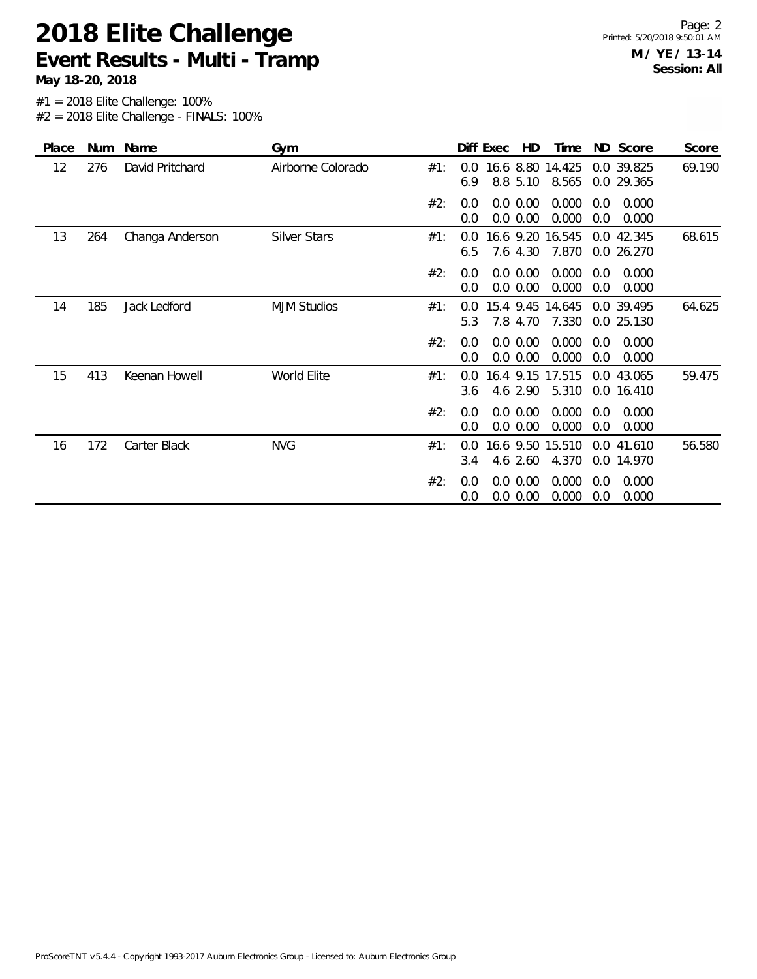#### **2018 Elite Challenge Event Results - Multi - Tramp**

**May 18-20, 2018**

| Place | Num | Name            | Gym                 |     |            | Diff Exec | HD                    | Time                      |            | ND Score                 | Score  |
|-------|-----|-----------------|---------------------|-----|------------|-----------|-----------------------|---------------------------|------------|--------------------------|--------|
| 12    | 276 | David Pritchard | Airborne Colorado   | #1: | 0.0<br>6.9 |           | 8.8 5.10              | 16.6 8.80 14.425<br>8.565 |            | 0.0 39.825<br>0.0 29.365 | 69.190 |
|       |     |                 |                     | #2: | 0.0<br>0.0 |           | 0.0 0.00<br>0.0 0.00  | 0.000<br>0.000            | 0.0<br>0.0 | 0.000<br>0.000           |        |
| 13    | 264 | Changa Anderson | <b>Silver Stars</b> | #1: | 0.0<br>6.5 |           | 7.6 4.30              | 16.6 9.20 16.545<br>7.870 |            | 0.0 42.345<br>0.0 26.270 | 68.615 |
|       |     |                 |                     | #2: | 0.0<br>0.0 |           | 0.0 0.00<br>0.0 0.00  | 0.000<br>0.000            | 0.0<br>0.0 | 0.000<br>0.000           |        |
| 14    | 185 | Jack Ledford    | <b>MJM Studios</b>  | #1: | 0.0<br>5.3 |           | 15.4 9.45<br>7.8 4.70 | 14.645<br>7.330           |            | 0.0 39.495<br>0.0 25.130 | 64.625 |
|       |     |                 |                     | #2: | 0.0<br>0.0 |           | 0.0 0.00<br>0.0 0.00  | 0.000<br>0.000            | 0.0<br>0.0 | 0.000<br>0.000           |        |
| 15    | 413 | Keenan Howell   | World Elite         | #1: | 0.0<br>3.6 |           | 4.6 2.90              | 16.4 9.15 17.515<br>5.310 |            | 0.0 43.065<br>0.0 16.410 | 59.475 |
|       |     |                 |                     | #2: | 0.0<br>0.0 |           | 0.0 0.00<br>0.0 0.00  | 0.000<br>0.000            | 0.0<br>0.0 | 0.000<br>0.000           |        |
| 16    | 172 | Carter Black    | <b>NVG</b>          | #1: | 0.0<br>3.4 |           | 16.6 9.50<br>4.6 2.60 | 15.510<br>4.370           |            | 0.0 41.610<br>0.0 14.970 | 56.580 |
|       |     |                 |                     | #2: | 0.0<br>0.0 |           | 0.0 0.00<br>0.0 0.00  | 0.000<br>0.000            | 0.0<br>0.0 | 0.000<br>0.000           |        |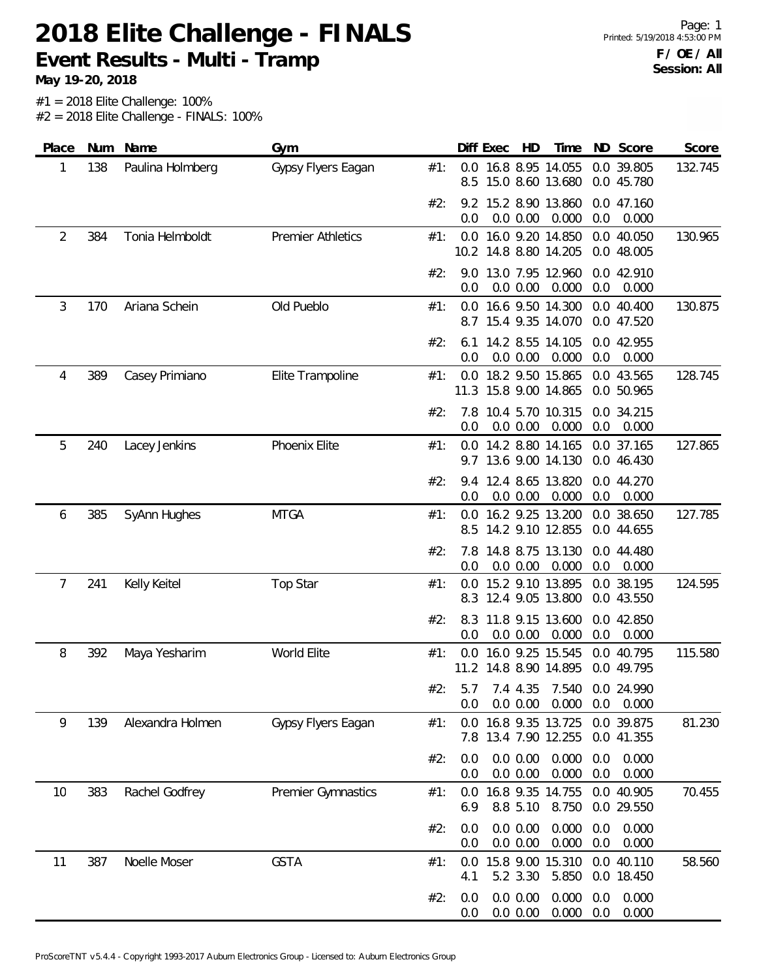**Event Results - Multi - Tramp**

| 0.0 16.8 8.95 14.055<br>0.0 39.805<br>132.745<br>138<br>Paulina Holmberg<br>Gypsy Flyers Eagan<br>#1:<br>1<br>8.5<br>15.0 8.60 13.680<br>0.0 45.780<br>9.2 15.2 8.90 13.860<br>#2:<br>0.0 47.160<br>0.000<br>0.0 0.00<br>0.0<br>0.000<br>0.0<br>$\overline{2}$<br>16.0 9.20 14.850<br>384<br>Tonia Helmboldt<br><b>Premier Athletics</b><br>0.0<br>0.0 40.050<br>130.965<br>#1:<br>10.2 14.8 8.80 14.205<br>0.0 48.005<br>13.0 7.95 12.960<br>0.0 42.910<br>#2:<br>9.0<br>0.0 0.00<br>0.000<br>0.0<br>0.0<br>0.000<br>3<br>Ariana Schein<br>Old Pueblo<br>16.6 9.50 14.300<br>0.0 40.400<br>130.875<br>170<br>#1:<br>0.0<br>15.4 9.35 14.070<br>0.0 47.520<br>8.7<br>14.2 8.55 14.105<br>0.0 42.955<br>#2:<br>6.1<br>0.0 0.00<br>0.0<br>0.000<br>0.0<br>0.000<br>0.0 18.2 9.50 15.865<br>128.745<br>389<br>Casey Primiano<br>Elite Trampoline<br>0.0 43.565<br>4<br>#1:<br>11.3 15.8 9.00 14.865<br>0.0 50.965<br>10.4 5.70 10.315<br>7.8<br>0.0 34.215<br>#2:<br>0.0<br>0.0 0.00<br>0.000<br>0.0<br>0.000<br>127.865<br>5<br>240<br>Phoenix Elite<br>0.0 14.2 8.80 14.165<br>Lacey Jenkins<br>#1:<br>0.0 37.165<br>9.7 13.6 9.00 14.130<br>0.0 46.430<br>12.4 8.65 13.820<br>#2:<br>0.0 44.270<br>9.4<br>0.0 0.00<br>0.000<br>0.0<br>0.000<br>0.0<br>127.785<br>385<br><b>MTGA</b><br>16.2 9.25 13.200<br>0.0 38.650<br>SyAnn Hughes<br>0.0<br>6<br>#1:<br>14.2 9.10 12.855<br>0.0 44.655<br>8.5<br>14.8 8.75 13.130<br>0.0 44.480<br>#2:<br>7.8<br>0.0 0.00<br>0.000<br>0.0<br>0.000<br>0.0<br>15.2 9.10 13.895<br>0.0 38.195<br>241<br>Kelly Keitel<br>Top Star<br>#1:<br>$0.0^{\circ}$<br>124.595<br>7<br>8.3 12.4 9.05 13.800<br>0.0 43.550<br>#2:<br>11.8 9.15 13.600<br>0.0 42.850<br>8.3<br>0.0<br>0.0 0.00<br>0.000<br>0.0<br>0.000<br>World Elite<br>0.0 16.0 9.25 15.545<br>115.580<br>8<br>392<br>#1:<br>0.0 40.795<br>Maya Yesharim<br>11.2 14.8 8.90 14.895<br>0.0 49.795<br>#2:<br>7.4 4.35<br>7.540<br>0.0 24.990<br>5.7<br>0.0 0.00<br>0.000<br>0.0<br>0.000<br>0.0<br>Gypsy Flyers Eagan<br>81.230<br>139<br>Alexandra Holmen<br>16.8 9.35 13.725<br>0.0 39.875<br>9<br>#1:<br>0.0<br>13.4 7.90 12.255<br>0.0 41.355<br>7.8<br>0.0 0.00<br>0.000<br>0.0<br>0.000<br>#2:<br>0.0<br>0.000<br>0.0 0.00<br>0.0<br>0.000<br>0.0<br>16.8 9.35 14.755<br>0.0 40.905<br>70.455<br>10<br>383<br>Rachel Godfrey<br>Premier Gymnastics<br>#1:<br>0.0<br>8.8 5.10<br>8.750<br>0.0 29.550<br>6.9<br>0.0 0.00<br>0.000<br>0.000<br>#2:<br>0.0<br>0.0<br>0.000<br>0.000<br>0.0<br>0.0 0.00<br>0.0<br><b>GSTA</b><br>15.8 9.00 15.310<br>0.0 40.110<br>387<br>Noelle Moser<br>#1:<br>58.560<br>11<br>0.0<br>5.2 3.30<br>5.850<br>0.0 18.450<br>4.1<br>0.0 0.00<br>#2:<br>0.0<br>0.000 | Place | Num | Name | Gym | Diff Exec | HD | Time  |     | ND Score | Score |
|-----------------------------------------------------------------------------------------------------------------------------------------------------------------------------------------------------------------------------------------------------------------------------------------------------------------------------------------------------------------------------------------------------------------------------------------------------------------------------------------------------------------------------------------------------------------------------------------------------------------------------------------------------------------------------------------------------------------------------------------------------------------------------------------------------------------------------------------------------------------------------------------------------------------------------------------------------------------------------------------------------------------------------------------------------------------------------------------------------------------------------------------------------------------------------------------------------------------------------------------------------------------------------------------------------------------------------------------------------------------------------------------------------------------------------------------------------------------------------------------------------------------------------------------------------------------------------------------------------------------------------------------------------------------------------------------------------------------------------------------------------------------------------------------------------------------------------------------------------------------------------------------------------------------------------------------------------------------------------------------------------------------------------------------------------------------------------------------------------------------------------------------------------------------------------------------------------------------------------------------------------------------------------------------------------------------------------------------------------------------------------------------------------------------------------------------------------------------------------------------------------------------------------------------------------------------------------------------------------------------------------------------------------------------------------------------|-------|-----|------|-----|-----------|----|-------|-----|----------|-------|
|                                                                                                                                                                                                                                                                                                                                                                                                                                                                                                                                                                                                                                                                                                                                                                                                                                                                                                                                                                                                                                                                                                                                                                                                                                                                                                                                                                                                                                                                                                                                                                                                                                                                                                                                                                                                                                                                                                                                                                                                                                                                                                                                                                                                                                                                                                                                                                                                                                                                                                                                                                                                                                                                                         |       |     |      |     |           |    |       |     |          |       |
|                                                                                                                                                                                                                                                                                                                                                                                                                                                                                                                                                                                                                                                                                                                                                                                                                                                                                                                                                                                                                                                                                                                                                                                                                                                                                                                                                                                                                                                                                                                                                                                                                                                                                                                                                                                                                                                                                                                                                                                                                                                                                                                                                                                                                                                                                                                                                                                                                                                                                                                                                                                                                                                                                         |       |     |      |     |           |    |       |     |          |       |
|                                                                                                                                                                                                                                                                                                                                                                                                                                                                                                                                                                                                                                                                                                                                                                                                                                                                                                                                                                                                                                                                                                                                                                                                                                                                                                                                                                                                                                                                                                                                                                                                                                                                                                                                                                                                                                                                                                                                                                                                                                                                                                                                                                                                                                                                                                                                                                                                                                                                                                                                                                                                                                                                                         |       |     |      |     |           |    |       |     |          |       |
|                                                                                                                                                                                                                                                                                                                                                                                                                                                                                                                                                                                                                                                                                                                                                                                                                                                                                                                                                                                                                                                                                                                                                                                                                                                                                                                                                                                                                                                                                                                                                                                                                                                                                                                                                                                                                                                                                                                                                                                                                                                                                                                                                                                                                                                                                                                                                                                                                                                                                                                                                                                                                                                                                         |       |     |      |     |           |    |       |     |          |       |
|                                                                                                                                                                                                                                                                                                                                                                                                                                                                                                                                                                                                                                                                                                                                                                                                                                                                                                                                                                                                                                                                                                                                                                                                                                                                                                                                                                                                                                                                                                                                                                                                                                                                                                                                                                                                                                                                                                                                                                                                                                                                                                                                                                                                                                                                                                                                                                                                                                                                                                                                                                                                                                                                                         |       |     |      |     |           |    |       |     |          |       |
|                                                                                                                                                                                                                                                                                                                                                                                                                                                                                                                                                                                                                                                                                                                                                                                                                                                                                                                                                                                                                                                                                                                                                                                                                                                                                                                                                                                                                                                                                                                                                                                                                                                                                                                                                                                                                                                                                                                                                                                                                                                                                                                                                                                                                                                                                                                                                                                                                                                                                                                                                                                                                                                                                         |       |     |      |     |           |    |       |     |          |       |
|                                                                                                                                                                                                                                                                                                                                                                                                                                                                                                                                                                                                                                                                                                                                                                                                                                                                                                                                                                                                                                                                                                                                                                                                                                                                                                                                                                                                                                                                                                                                                                                                                                                                                                                                                                                                                                                                                                                                                                                                                                                                                                                                                                                                                                                                                                                                                                                                                                                                                                                                                                                                                                                                                         |       |     |      |     |           |    |       |     |          |       |
|                                                                                                                                                                                                                                                                                                                                                                                                                                                                                                                                                                                                                                                                                                                                                                                                                                                                                                                                                                                                                                                                                                                                                                                                                                                                                                                                                                                                                                                                                                                                                                                                                                                                                                                                                                                                                                                                                                                                                                                                                                                                                                                                                                                                                                                                                                                                                                                                                                                                                                                                                                                                                                                                                         |       |     |      |     |           |    |       |     |          |       |
|                                                                                                                                                                                                                                                                                                                                                                                                                                                                                                                                                                                                                                                                                                                                                                                                                                                                                                                                                                                                                                                                                                                                                                                                                                                                                                                                                                                                                                                                                                                                                                                                                                                                                                                                                                                                                                                                                                                                                                                                                                                                                                                                                                                                                                                                                                                                                                                                                                                                                                                                                                                                                                                                                         |       |     |      |     |           |    |       |     |          |       |
|                                                                                                                                                                                                                                                                                                                                                                                                                                                                                                                                                                                                                                                                                                                                                                                                                                                                                                                                                                                                                                                                                                                                                                                                                                                                                                                                                                                                                                                                                                                                                                                                                                                                                                                                                                                                                                                                                                                                                                                                                                                                                                                                                                                                                                                                                                                                                                                                                                                                                                                                                                                                                                                                                         |       |     |      |     |           |    |       |     |          |       |
|                                                                                                                                                                                                                                                                                                                                                                                                                                                                                                                                                                                                                                                                                                                                                                                                                                                                                                                                                                                                                                                                                                                                                                                                                                                                                                                                                                                                                                                                                                                                                                                                                                                                                                                                                                                                                                                                                                                                                                                                                                                                                                                                                                                                                                                                                                                                                                                                                                                                                                                                                                                                                                                                                         |       |     |      |     |           |    |       |     |          |       |
|                                                                                                                                                                                                                                                                                                                                                                                                                                                                                                                                                                                                                                                                                                                                                                                                                                                                                                                                                                                                                                                                                                                                                                                                                                                                                                                                                                                                                                                                                                                                                                                                                                                                                                                                                                                                                                                                                                                                                                                                                                                                                                                                                                                                                                                                                                                                                                                                                                                                                                                                                                                                                                                                                         |       |     |      |     |           |    |       |     |          |       |
|                                                                                                                                                                                                                                                                                                                                                                                                                                                                                                                                                                                                                                                                                                                                                                                                                                                                                                                                                                                                                                                                                                                                                                                                                                                                                                                                                                                                                                                                                                                                                                                                                                                                                                                                                                                                                                                                                                                                                                                                                                                                                                                                                                                                                                                                                                                                                                                                                                                                                                                                                                                                                                                                                         |       |     |      |     |           |    |       |     |          |       |
|                                                                                                                                                                                                                                                                                                                                                                                                                                                                                                                                                                                                                                                                                                                                                                                                                                                                                                                                                                                                                                                                                                                                                                                                                                                                                                                                                                                                                                                                                                                                                                                                                                                                                                                                                                                                                                                                                                                                                                                                                                                                                                                                                                                                                                                                                                                                                                                                                                                                                                                                                                                                                                                                                         |       |     |      |     |           |    |       |     |          |       |
|                                                                                                                                                                                                                                                                                                                                                                                                                                                                                                                                                                                                                                                                                                                                                                                                                                                                                                                                                                                                                                                                                                                                                                                                                                                                                                                                                                                                                                                                                                                                                                                                                                                                                                                                                                                                                                                                                                                                                                                                                                                                                                                                                                                                                                                                                                                                                                                                                                                                                                                                                                                                                                                                                         |       |     |      |     |           |    |       |     |          |       |
|                                                                                                                                                                                                                                                                                                                                                                                                                                                                                                                                                                                                                                                                                                                                                                                                                                                                                                                                                                                                                                                                                                                                                                                                                                                                                                                                                                                                                                                                                                                                                                                                                                                                                                                                                                                                                                                                                                                                                                                                                                                                                                                                                                                                                                                                                                                                                                                                                                                                                                                                                                                                                                                                                         |       |     |      |     |           |    |       |     |          |       |
|                                                                                                                                                                                                                                                                                                                                                                                                                                                                                                                                                                                                                                                                                                                                                                                                                                                                                                                                                                                                                                                                                                                                                                                                                                                                                                                                                                                                                                                                                                                                                                                                                                                                                                                                                                                                                                                                                                                                                                                                                                                                                                                                                                                                                                                                                                                                                                                                                                                                                                                                                                                                                                                                                         |       |     |      |     |           |    |       |     |          |       |
|                                                                                                                                                                                                                                                                                                                                                                                                                                                                                                                                                                                                                                                                                                                                                                                                                                                                                                                                                                                                                                                                                                                                                                                                                                                                                                                                                                                                                                                                                                                                                                                                                                                                                                                                                                                                                                                                                                                                                                                                                                                                                                                                                                                                                                                                                                                                                                                                                                                                                                                                                                                                                                                                                         |       |     |      |     |           |    |       |     |          |       |
|                                                                                                                                                                                                                                                                                                                                                                                                                                                                                                                                                                                                                                                                                                                                                                                                                                                                                                                                                                                                                                                                                                                                                                                                                                                                                                                                                                                                                                                                                                                                                                                                                                                                                                                                                                                                                                                                                                                                                                                                                                                                                                                                                                                                                                                                                                                                                                                                                                                                                                                                                                                                                                                                                         |       |     |      |     |           |    |       |     |          |       |
|                                                                                                                                                                                                                                                                                                                                                                                                                                                                                                                                                                                                                                                                                                                                                                                                                                                                                                                                                                                                                                                                                                                                                                                                                                                                                                                                                                                                                                                                                                                                                                                                                                                                                                                                                                                                                                                                                                                                                                                                                                                                                                                                                                                                                                                                                                                                                                                                                                                                                                                                                                                                                                                                                         |       |     |      |     |           |    |       |     |          |       |
|                                                                                                                                                                                                                                                                                                                                                                                                                                                                                                                                                                                                                                                                                                                                                                                                                                                                                                                                                                                                                                                                                                                                                                                                                                                                                                                                                                                                                                                                                                                                                                                                                                                                                                                                                                                                                                                                                                                                                                                                                                                                                                                                                                                                                                                                                                                                                                                                                                                                                                                                                                                                                                                                                         |       |     |      |     |           |    |       |     |          |       |
| 0.0 0.00<br>0.000<br>0.0<br>0.000<br>0.0                                                                                                                                                                                                                                                                                                                                                                                                                                                                                                                                                                                                                                                                                                                                                                                                                                                                                                                                                                                                                                                                                                                                                                                                                                                                                                                                                                                                                                                                                                                                                                                                                                                                                                                                                                                                                                                                                                                                                                                                                                                                                                                                                                                                                                                                                                                                                                                                                                                                                                                                                                                                                                                |       |     |      |     |           |    | 0.000 | 0.0 |          |       |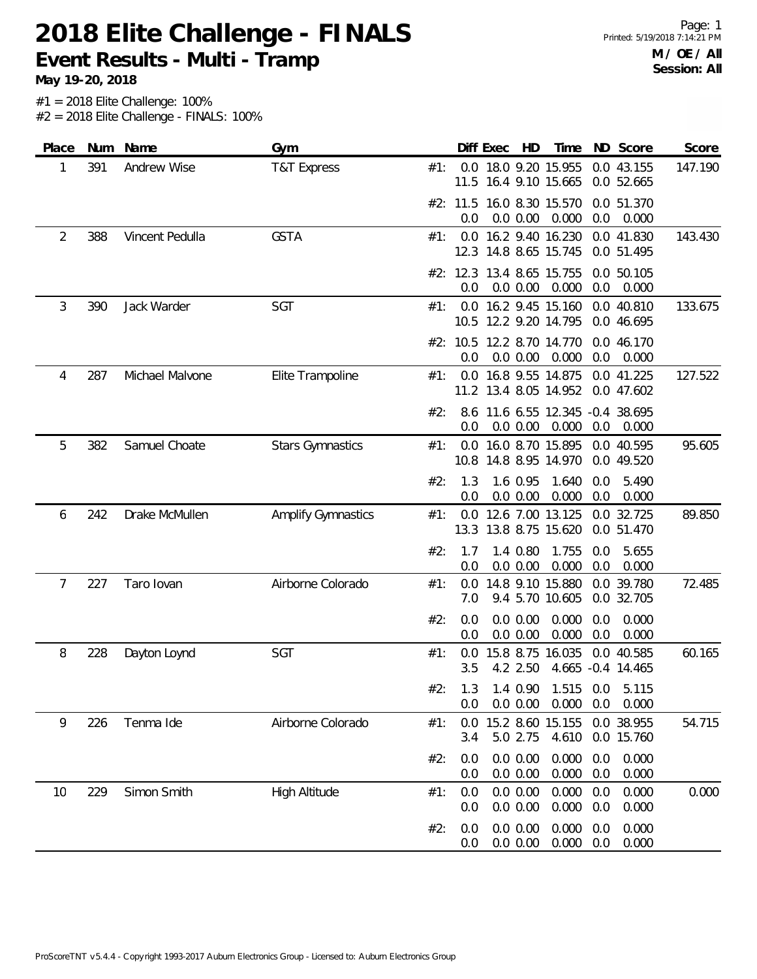**Event Results - Multi - Tramp**

| Place | Num | Name            | Gym                       |     |                 | Diff Exec<br>HD                               | Time               |            | ND Score                        | Score   |
|-------|-----|-----------------|---------------------------|-----|-----------------|-----------------------------------------------|--------------------|------------|---------------------------------|---------|
| 1     | 391 | Andrew Wise     | <b>T&amp;T Express</b>    | #1: |                 | 0.0 18.0 9.20 15.955<br>11.5 16.4 9.10 15.665 |                    |            | 0.0 43.155<br>0.0 52.665        | 147.190 |
|       |     |                 |                           |     | 0.0             | #2: 11.5 16.0 8.30 15.570<br>0.0 0.00         | 0.000              | 0.0        | 0.0 51.370<br>0.000             |         |
| 2     | 388 | Vincent Pedulla | <b>GSTA</b>               | #1: |                 | 0.0 16.2 9.40 16.230<br>12.3 14.8 8.65 15.745 |                    |            | 0.0 41.830<br>0.0 51.495        | 143.430 |
|       |     |                 |                           |     | #2: 12.3<br>0.0 | 13.4 8.65 15.755<br>0.0 0.00                  | 0.000              | 0.0        | 0.0 50.105<br>0.000             |         |
| 3     | 390 | Jack Warder     | SGT                       | #1: |                 | 0.0 16.2 9.45 15.160<br>10.5 12.2 9.20 14.795 |                    |            | 0.0 40.810<br>0.0 46.695        | 133.675 |
|       |     |                 |                           |     | 0.0             | #2: 10.5 12.2 8.70 14.770<br>0.0 0.00         | 0.000              | 0.0        | 0.0 46.170<br>0.000             |         |
| 4     | 287 | Michael Malvone | Elite Trampoline          | #1: |                 | 0.0 16.8 9.55 14.875<br>11.2 13.4 8.05 14.952 |                    |            | 0.0 41.225<br>0.0 47.602        | 127.522 |
|       |     |                 |                           | #2: | 0.0             | 8.6 11.6 6.55 12.345 -0.4 38.695<br>0.0 0.00  | 0.000              | 0.0        | 0.000                           |         |
| 5     | 382 | Samuel Choate   | <b>Stars Gymnastics</b>   | #1: |                 | 0.0 16.0 8.70 15.895<br>10.8 14.8 8.95 14.970 |                    |            | 0.0 40.595<br>0.0 49.520        | 95.605  |
|       |     |                 |                           | #2: | 1.3<br>0.0      | 1.6 0.95<br>0.0 0.00                          | 1.640<br>0.000     | 0.0<br>0.0 | 5.490<br>0.000                  |         |
| 6     | 242 | Drake McMullen  | <b>Amplify Gymnastics</b> | #1: | 0.0             | 12.6 7.00 13.125<br>13.3 13.8 8.75 15.620     |                    |            | 0.0 32.725<br>0.0 51.470        | 89.850  |
|       |     |                 |                           | #2: | 1.7<br>0.0      | 1.4 0.80<br>0.0 0.00                          | 1.755<br>0.000     | 0.0<br>0.0 | 5.655<br>0.000                  |         |
| 7     | 227 | Taro lovan      | Airborne Colorado         | #1: | 0.0<br>7.0      | 14.8 9.10 15.880                              | 9.4 5.70 10.605    |            | 0.0 39.780<br>0.0 32.705        | 72.485  |
|       |     |                 |                           | #2: | 0.0<br>0.0      | 0.0 0.00<br>0.0 0.00                          | 0.000<br>0.000     | 0.0<br>0.0 | 0.000<br>0.000                  |         |
| 8     | 228 | Dayton Loynd    | SGT                       | #1: | 0.0<br>3.5      | 15.8 8.75 16.035<br>4.2 2.50                  |                    |            | 0.0 40.585<br>4.665 -0.4 14.465 | 60.165  |
|       |     |                 |                           | #2: | 1.3<br>0.0      | 1.4 0.90<br>0.0 0.00                          | 1.515 0.0<br>0.000 | 0.0        | 5.115<br>0.000                  |         |
| 9     | 226 | Tenma Ide       | Airborne Colorado         | #1: | 0.0<br>3.4      | 15.2 8.60<br>5.0 2.75                         | 15.155<br>4.610    |            | 0.0 38.955<br>0.0 15.760        | 54.715  |
|       |     |                 |                           | #2: | 0.0<br>0.0      | 0.0 0.00<br>0.0 0.00                          | 0.000<br>0.000     | 0.0<br>0.0 | 0.000<br>0.000                  |         |
| 10    | 229 | Simon Smith     | <b>High Altitude</b>      | #1: | 0.0<br>0.0      | 0.0 0.00<br>0.0 0.00                          | 0.000<br>0.000     | 0.0<br>0.0 | 0.000<br>0.000                  | 0.000   |
|       |     |                 |                           | #2: | 0.0<br>0.0      | 0.0 0.00<br>0.0 0.00                          | 0.000<br>0.000     | 0.0<br>0.0 | 0.000<br>0.000                  |         |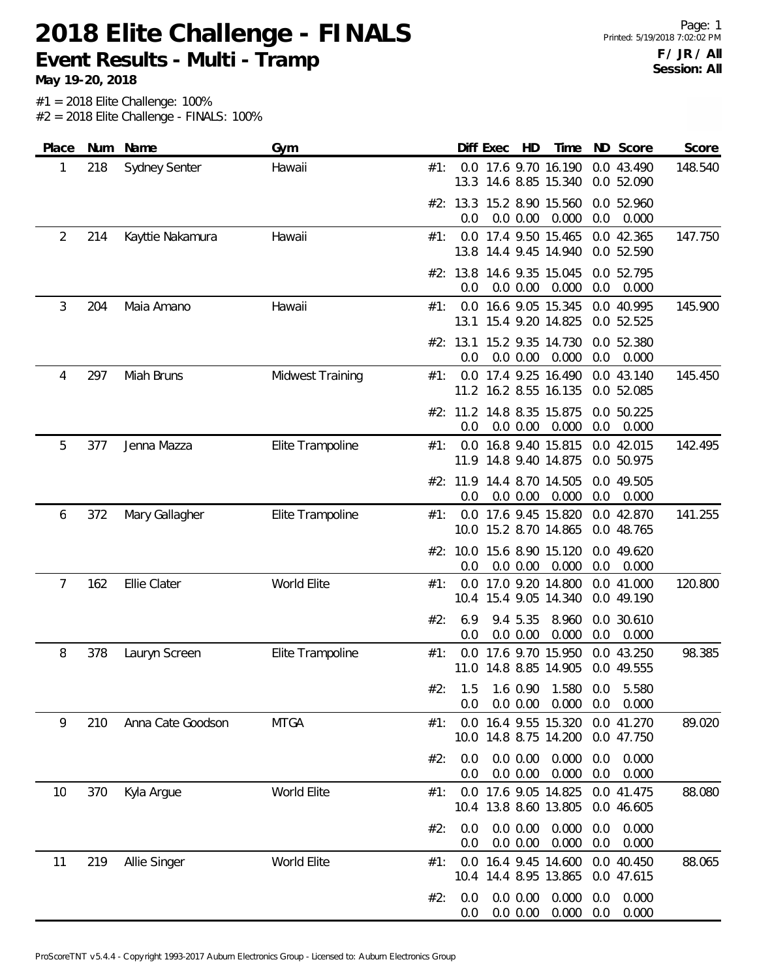**Event Results - Multi - Tramp**

| Place | Num | Name              | Gym              |     |                 | Diff Exec | HD                   | Time                                          | ND         | Score                    | Score   |
|-------|-----|-------------------|------------------|-----|-----------------|-----------|----------------------|-----------------------------------------------|------------|--------------------------|---------|
| 1     | 218 | Sydney Senter     | Hawaii           | #1: |                 |           |                      | 0.0 17.6 9.70 16.190<br>13.3 14.6 8.85 15.340 |            | 0.0 43.490<br>0.0 52.090 | 148.540 |
|       |     |                   |                  |     | 0.0             |           | 0.0 0.00             | #2: 13.3 15.2 8.90 15.560<br>0.000            | 0.0        | 0.0 52.960<br>0.000      |         |
| 2     | 214 | Kayttie Nakamura  | Hawaii           | #1: |                 |           |                      | 0.0 17.4 9.50 15.465                          |            | 0.0 42.365               | 147.750 |
|       |     |                   |                  |     | 13.8            |           |                      | 14.4 9.45 14.940                              |            | 0.0 52.590               |         |
|       |     |                   |                  |     | 0.0             |           | 0.0 0.00             | #2: 13.8 14.6 9.35 15.045<br>0.000            | 0.0        | 0.0 52.795<br>0.000      |         |
| 3     | 204 | Maia Amano        | Hawaii           | #1: | 0.0             |           |                      | 16.6 9.05 15.345                              |            | 0.0 40.995               | 145.900 |
|       |     |                   |                  |     |                 |           |                      | 13.1 15.4 9.20 14.825                         |            | 0.0 52.525               |         |
|       |     |                   |                  |     | #2: 13.1        |           |                      | 15.2 9.35 14.730                              |            | 0.0 52.380               |         |
| 4     | 297 | Miah Bruns        | Midwest Training | #1: | 0.0             |           | 0.0 0.00             | 0.000<br>0.0 17.4 9.25 16.490                 | 0.0        | 0.000<br>0.0 43.140      | 145.450 |
|       |     |                   |                  |     |                 |           |                      | 11.2 16.2 8.55 16.135                         |            | 0.0 52.085               |         |
|       |     |                   |                  |     |                 |           |                      | #2: 11.2 14.8 8.35 15.875                     |            | 0.0 50.225               |         |
|       |     |                   |                  |     | 0.0             |           | 0.0 0.00             | 0.000                                         | 0.0        | 0.000                    |         |
| 5     | 377 | Jenna Mazza       | Elite Trampoline | #1: |                 |           |                      | 0.0 16.8 9.40 15.815<br>11.9 14.8 9.40 14.875 |            | 0.0 42.015<br>0.0 50.975 | 142.495 |
|       |     |                   |                  |     | #2: 11.9        |           |                      | 14.4 8.70 14.505                              |            | 0.0 49.505               |         |
|       |     |                   |                  |     | 0.0             |           | 0.0 0.00             | 0.000                                         | 0.0        | 0.000                    |         |
| 6     | 372 | Mary Gallagher    | Elite Trampoline | #1: |                 |           |                      | 0.0 17.6 9.45 15.820                          |            | 0.0 42.870               | 141.255 |
|       |     |                   |                  |     |                 |           |                      | 10.0 15.2 8.70 14.865                         |            | 0.0 48.765               |         |
|       |     |                   |                  |     | #2: 10.0<br>0.0 |           | 0.0 0.00             | 15.6 8.90 15.120<br>0.000                     | 0.0        | 0.0 49.620<br>0.000      |         |
| 7     | 162 | Ellie Clater      | World Elite      | #1: | 0.0             |           |                      | 17.0 9.20 14.800                              |            | 0.0 41.000               | 120.800 |
|       |     |                   |                  |     |                 |           |                      | 10.4 15.4 9.05 14.340                         |            | 0.0 49.190               |         |
|       |     |                   |                  | #2: | 6.9             |           | 9.4 5.35             | 8.960                                         |            | 0.0 30.610               |         |
| 8     | 378 | Lauryn Screen     | Elite Trampoline | #1: | 0.0<br>0.0      |           | 0.0 0.00             | 0.000<br>17.6 9.70 15.950                     | 0.0        | 0.000<br>0.0 43.250      | 98.385  |
|       |     |                   |                  |     | 11.0            |           |                      | 14.8 8.85 14.905                              |            | 0.0 49.555               |         |
|       |     |                   |                  | #2: | 1.5             |           | 1.6 0.90             | 1.580                                         | 0.0        | 5.580                    |         |
|       |     |                   |                  |     | 0.0             |           | 0.0 0.00             | 0.000                                         | 0.0        | 0.000                    |         |
| 9     | 210 | Anna Cate Goodson | <b>MTGA</b>      | #1: | 0.0             |           |                      | 16.4 9.55 15.320<br>10.0 14.8 8.75 14.200     |            | 0.0 41.270<br>0.0 47.750 | 89.020  |
|       |     |                   |                  | #2: | 0.0             |           | 0.0 0.00             | 0.000                                         | 0.0        | 0.000                    |         |
|       |     |                   |                  |     | 0.0             |           | 0.0 0.00             | 0.000                                         | 0.0        | 0.000                    |         |
| 10    | 370 | Kyla Argue        | World Elite      | #1: | 0.0             |           |                      | 17.6 9.05 14.825                              |            | 0.0 41.475               | 88.080  |
|       |     |                   |                  |     |                 |           |                      | 10.4 13.8 8.60 13.805                         |            | 0.0 46.605               |         |
|       |     |                   |                  | #2: | 0.0<br>0.0      |           | 0.0 0.00<br>0.0 0.00 | 0.000<br>0.000                                | 0.0<br>0.0 | 0.000<br>0.000           |         |
| 11    | 219 | Allie Singer      | World Elite      | #1: | 0.0             |           |                      | 16.4 9.45 14.600                              |            | 0.0 40.450               | 88.065  |
|       |     |                   |                  |     |                 |           |                      | 10.4 14.4 8.95 13.865                         |            | 0.0 47.615               |         |
|       |     |                   |                  | #2: | 0.0             |           | 0.0 0.00             | 0.000                                         | 0.0        | 0.000                    |         |
|       |     |                   |                  |     | 0.0             |           | 0.0 0.00             | 0.000                                         | 0.0        | 0.000                    |         |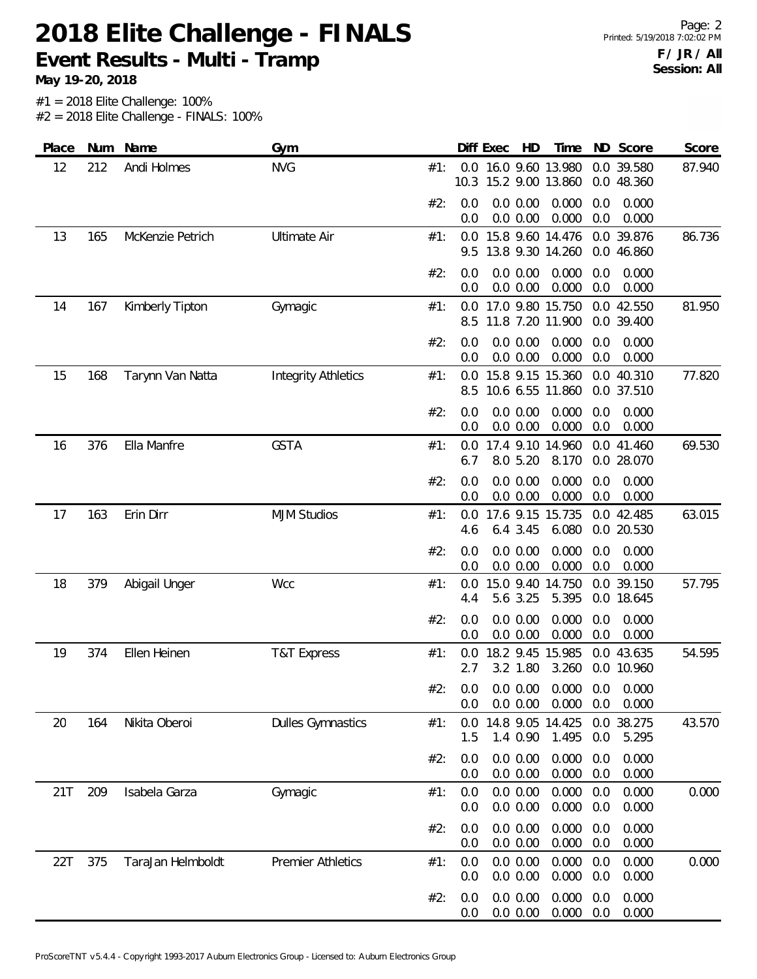**Event Results - Multi - Tramp**

| Place | Num | Name              | Gym                        |     |            | Diff Exec | HD                    | Time                                     | ND         | Score                    | Score  |
|-------|-----|-------------------|----------------------------|-----|------------|-----------|-----------------------|------------------------------------------|------------|--------------------------|--------|
| 12    | 212 | Andi Holmes       | <b>NVG</b>                 | #1: | 10.3       |           |                       | 0.0 16.0 9.60 13.980<br>15.2 9.00 13.860 |            | 0.0 39.580<br>0.0 48.360 | 87.940 |
|       |     |                   |                            | #2: | 0.0<br>0.0 |           | 0.0 0.00<br>0.0 0.00  | 0.000<br>0.000                           | 0.0<br>0.0 | 0.000<br>0.000           |        |
| 13    | 165 | McKenzie Petrich  | <b>Ultimate Air</b>        | #1: | 0.0        |           |                       | 15.8 9.60 14.476                         |            | 0.0 39.876               | 86.736 |
|       |     |                   |                            |     | 9.5        |           |                       | 13.8 9.30 14.260                         | 0.0        | 46.860                   |        |
|       |     |                   |                            | #2: | 0.0<br>0.0 |           | 0.0 0.00<br>0.0 0.00  | 0.000<br>0.000                           | 0.0<br>0.0 | 0.000<br>0.000           |        |
| 14    | 167 | Kimberly Tipton   | Gymagic                    | #1: | 0.0<br>8.5 |           |                       | 17.0 9.80 15.750<br>11.8 7.20 11.900     |            | 0.0 42.550<br>0.0 39.400 | 81.950 |
|       |     |                   |                            | #2: | 0.0<br>0.0 |           | 0.0 0.00<br>0.0 0.00  | 0.000<br>0.000                           | 0.0<br>0.0 | 0.000<br>0.000           |        |
| 15    | 168 | Tarynn Van Natta  | <b>Integrity Athletics</b> | #1: | 0.0        |           |                       | 15.8 9.15 15.360                         |            | 0.0 40.310               | 77.820 |
|       |     |                   |                            |     | 8.5        |           |                       | 10.6 6.55 11.860                         |            | 0.0 37.510               |        |
|       |     |                   |                            | #2: | 0.0<br>0.0 |           | 0.0 0.00<br>0.0 0.00  | 0.000<br>0.000                           | 0.0<br>0.0 | 0.000<br>0.000           |        |
| 16    | 376 | Ella Manfre       | <b>GSTA</b>                | #1: | 0.0        |           |                       | 17.4 9.10 14.960                         |            | 0.0 41.460               | 69.530 |
|       |     |                   |                            |     | 6.7        |           | 8.0 5.20              | 8.170                                    |            | 0.0 28.070               |        |
|       |     |                   |                            | #2: | 0.0<br>0.0 |           | 0.0 0.00<br>0.0 0.00  | 0.000<br>0.000                           | 0.0<br>0.0 | 0.000<br>0.000           |        |
| 17    | 163 | Erin Dirr         | <b>MJM Studios</b>         | #1: | 0.0        |           |                       | 17.6 9.15 15.735                         |            | 0.0 42.485               | 63.015 |
|       |     |                   |                            |     | 4.6        |           | 6.43.45               | 6.080                                    |            | 0.0 20.530               |        |
|       |     |                   |                            | #2: | 0.0<br>0.0 |           | 0.0 0.00<br>0.0 0.00  | 0.000<br>0.000                           | 0.0<br>0.0 | 0.000<br>0.000           |        |
| 18    | 379 | Abigail Unger     | <b>Wcc</b>                 | #1: | 0.0<br>4.4 | 15.0 9.40 | 5.6 3.25              | 14.750<br>5.395                          |            | 0.0 39.150<br>0.0 18.645 | 57.795 |
|       |     |                   |                            | #2: | 0.0<br>0.0 |           | 0.0 0.00<br>0.0 0.00  | 0.000<br>0.000                           | 0.0<br>0.0 | 0.000<br>0.000           |        |
| 19    | 374 | Ellen Heinen      | <b>T&amp;T Express</b>     | #1: | 0.0<br>2.7 |           | 3.2 1.80              | 18.2 9.45 15.985<br>3.260                |            | 0.0 43.635<br>0.0 10.960 | 54.595 |
|       |     |                   |                            | #2: | 0.0<br>0.0 |           | 0.0 0.00<br>0.0 0.00  | 0.000<br>0.000                           | 0.0<br>0.0 | 0.000<br>0.000           |        |
| 20    | 164 | Nikita Oberoi     | <b>Dulles Gymnastics</b>   | #1: | 0.0<br>1.5 |           | 14.8 9.05<br>1.4 0.90 | 14.425<br>1.495                          | 0.0<br>0.0 | 38.275<br>5.295          | 43.570 |
|       |     |                   |                            | #2: | 0.0<br>0.0 |           | 0.0 0.00<br>0.0 0.00  | 0.000<br>0.000                           | 0.0<br>0.0 | 0.000<br>0.000           |        |
| 21T   | 209 | Isabela Garza     | Gymagic                    | #1: | 0.0<br>0.0 |           | 0.0 0.00<br>0.0 0.00  | 0.000<br>0.000                           | 0.0<br>0.0 | 0.000<br>0.000           | 0.000  |
|       |     |                   |                            | #2: | 0.0<br>0.0 |           | 0.0 0.00<br>0.0 0.00  | 0.000<br>0.000                           | 0.0<br>0.0 | 0.000<br>0.000           |        |
| 22T   | 375 | TaraJan Helmboldt | <b>Premier Athletics</b>   | #1: | 0.0<br>0.0 |           | 0.0 0.00<br>0.0 0.00  | 0.000<br>0.000                           | 0.0<br>0.0 | 0.000<br>0.000           | 0.000  |
|       |     |                   |                            | #2: | 0.0<br>0.0 |           | 0.0 0.00<br>0.0 0.00  | 0.000<br>0.000                           | 0.0<br>0.0 | 0.000<br>0.000           |        |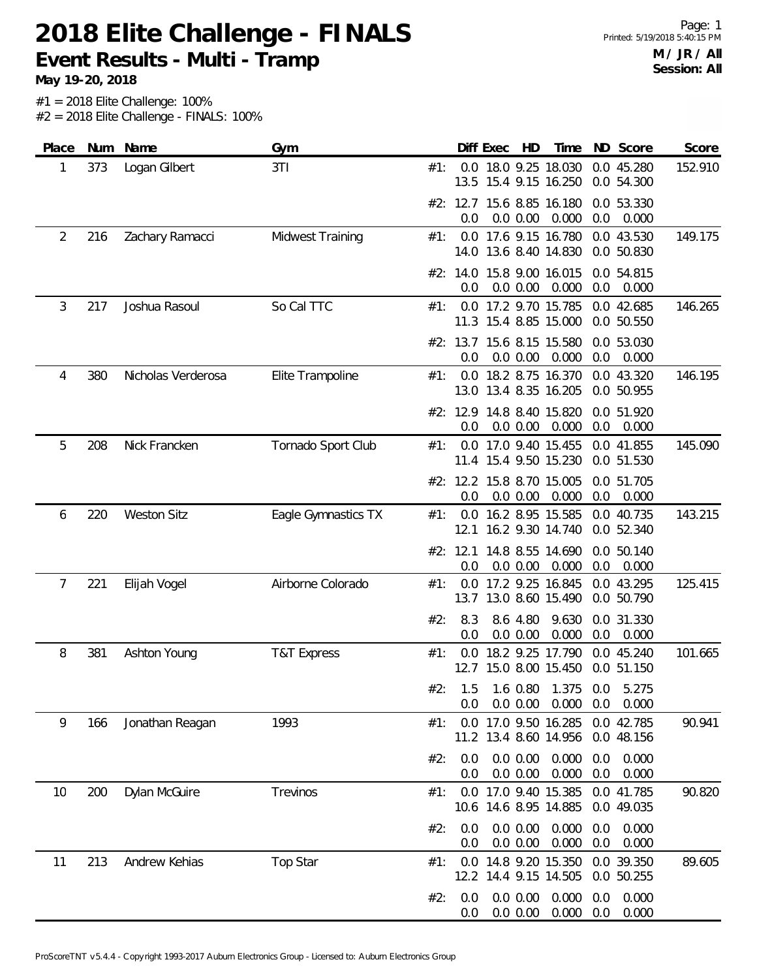**Event Results - Multi - Tramp**

| Place | Num | Name               | Gym                    |     | Diff Exec       | HD                                        | Time                                          | ND Score                     | Score   |
|-------|-----|--------------------|------------------------|-----|-----------------|-------------------------------------------|-----------------------------------------------|------------------------------|---------|
| 1     | 373 | Logan Gilbert      | 3T1                    | #1: |                 |                                           | 0.0 18.0 9.25 18.030<br>13.5 15.4 9.15 16.250 | 0.0 45.280<br>0.0 54.300     | 152.910 |
|       |     |                    |                        |     | 0.0             | #2: 12.7 15.6 8.85 16.180<br>0.0 0.00     | 0.000                                         | 0.0 53.330<br>0.0<br>0.000   |         |
| 2     | 216 | Zachary Ramacci    | Midwest Training       | #1: |                 |                                           | 0.0 17.6 9.15 16.780<br>14.0 13.6 8.40 14.830 | 0.0 43.530<br>0.0 50.830     | 149.175 |
|       |     |                    |                        |     | 0.0             | #2: 14.0 15.8 9.00 16.015<br>0.0 0.00     | 0.000                                         | 0.0 54.815<br>0.0<br>0.000   |         |
| 3     | 217 | Joshua Rasoul      | So Cal TTC             | #1: | 0.0             | 17.2 9.70 15.785<br>11.3 15.4 8.85 15.000 |                                               | 0.0 42.685<br>0.0 50.550     | 146.265 |
|       |     |                    |                        |     | 0.0             | 0.0 0.00                                  | #2: 13.7 15.6 8.15 15.580<br>0.000            | 0.0 53.030<br>0.0<br>0.000   |         |
| 4     | 380 | Nicholas Verderosa | Elite Trampoline       | #1: |                 |                                           | 0.0 18.2 8.75 16.370<br>13.0 13.4 8.35 16.205 | 0.0 43.320<br>0.0 50.955     | 146.195 |
|       |     |                    |                        |     | 0.0             | #2: 12.9 14.8 8.40 15.820<br>0.0 0.00     | 0.000                                         | 0.0 51.920<br>0.0<br>0.000   |         |
| 5     | 208 | Nick Francken      | Tornado Sport Club     | #1: |                 |                                           | 0.0 17.0 9.40 15.455<br>11.4 15.4 9.50 15.230 | 0.0 41.855<br>0.0 51.530     | 145.090 |
|       |     |                    |                        |     | 0.0             | #2: 12.2 15.8 8.70 15.005<br>0.0 0.00     | 0.000                                         | 0.0 51.705<br>0.0<br>0.000   |         |
| 6     | 220 | <b>Weston Sitz</b> | Eagle Gymnastics TX    | #1: | 0.0<br>12.1     | 16.2 8.95 15.585                          | 16.2 9.30 14.740                              | 0.0 40.735<br>0.0 52.340     | 143.215 |
|       |     |                    |                        |     | #2: 12.1<br>0.0 | 14.8 8.55 14.690<br>0.0 0.00              | 0.000                                         | 0.0 50.140<br>0.0<br>0.000   |         |
| 7     | 221 | Elijah Vogel       | Airborne Colorado      | #1: |                 | 0.0 17.2 9.25 16.845                      | 13.7 13.0 8.60 15.490                         | 0.0 43.295<br>0.0 50.790     | 125.415 |
|       |     |                    |                        | #2: | 8.3<br>0.0      | 8.6 4.80<br>0.0 0.00                      | 9.630<br>0.000                                | 0.0 31.330<br>0.0<br>0.000   |         |
| 8     | 381 | Ashton Young       | <b>T&amp;T Express</b> | #1: | 12.7            | 15.0 8.00 15.450                          | 0.0 18.2 9.25 17.790                          | 0.0 45.240<br>0.0 51.150     | 101.665 |
|       |     |                    |                        | #2: | 1.5<br>0.0      | 1.6 0.80<br>0.0 0.00                      | 1.375<br>0.000                                | 0.0<br>5.275<br>0.0<br>0.000 |         |
| 9     | 166 | Jonathan Reagan    | 1993                   | #1: | 0.0             |                                           | 17.0 9.50 16.285<br>11.2 13.4 8.60 14.956     | 0.0 42.785<br>0.0 48.156     | 90.941  |
|       |     |                    |                        | #2: | 0.0<br>0.0      | 0.0 0.00<br>0.0 0.00                      | 0.000<br>0.000                                | 0.0<br>0.000<br>0.0<br>0.000 |         |
| 10    | 200 | Dylan McGuire      | Trevinos               | #1: | 0.0             | 17.0 9.40 15.385                          | 10.6 14.6 8.95 14.885                         | 0.0 41.785<br>0.0 49.035     | 90.820  |
|       |     |                    |                        | #2: | 0.0<br>0.0      | 0.0 0.00<br>0.0 0.00                      | 0.000<br>0.000                                | 0.000<br>0.0<br>0.000<br>0.0 |         |
| 11    | 213 | Andrew Kehias      | Top Star               | #1: | 12.2            | 14.4 9.15 14.505                          | 0.0 14.8 9.20 15.350                          | 0.0 39.350<br>0.0 50.255     | 89.605  |
|       |     |                    |                        | #2: | 0.0<br>0.0      | 0.0 0.00<br>0.0 0.00                      | 0.000<br>0.000                                | 0.000<br>0.0<br>0.0<br>0.000 |         |
|       |     |                    |                        |     |                 |                                           |                                               |                              |         |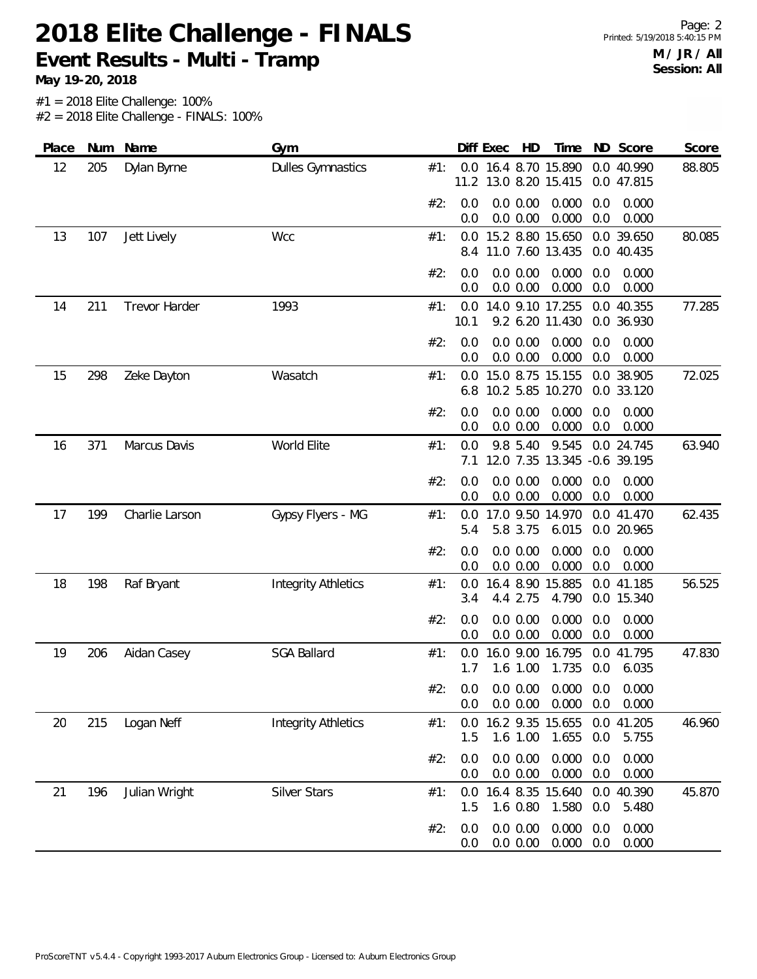**Event Results - Multi - Tramp**

| Place | Num | Name                 | Gym                        |     |                 | Diff Exec | HD                    | Time                                          |            | ND Score                 | Score  |
|-------|-----|----------------------|----------------------------|-----|-----------------|-----------|-----------------------|-----------------------------------------------|------------|--------------------------|--------|
| 12    | 205 | Dylan Byrne          | <b>Dulles Gymnastics</b>   | #1: |                 |           |                       | 0.0 16.4 8.70 15.890<br>11.2 13.0 8.20 15.415 |            | 0.0 40.990<br>0.0 47.815 | 88.805 |
|       |     |                      |                            | #2: | 0.0<br>0.0      |           | 0.0 0.00<br>0.0 0.00  | 0.000<br>0.000                                | 0.0<br>0.0 | 0.000<br>0.000           |        |
| 13    | 107 | Jett Lively          | Wcc                        | #1: | 0.0<br>8.4      |           |                       | 15.2 8.80 15.650<br>11.0 7.60 13.435          |            | 0.0 39.650<br>0.0 40.435 | 80.085 |
|       |     |                      |                            | #2: | 0.0<br>0.0      |           | 0.0 0.00<br>0.0 0.00  | 0.000<br>0.000                                | 0.0<br>0.0 | 0.000<br>0.000           |        |
| 14    | 211 | <b>Trevor Harder</b> | 1993                       | #1: | $0.0\,$<br>10.1 |           |                       | 14.0 9.10 17.255<br>9.2 6.20 11.430           |            | 0.0 40.355<br>0.0 36.930 | 77.285 |
|       |     |                      |                            | #2: | 0.0<br>0.0      |           | 0.0 0.00<br>0.0 0.00  | 0.000<br>0.000                                | 0.0<br>0.0 | 0.000<br>0.000           |        |
| 15    | 298 | Zeke Dayton          | Wasatch                    | #1: | 0.0<br>6.8      |           |                       | 15.0 8.75 15.155<br>10.2 5.85 10.270          |            | 0.0 38.905<br>0.0 33.120 | 72.025 |
|       |     |                      |                            | #2: | 0.0<br>0.0      |           | 0.0 0.00<br>0.0 0.00  | 0.000<br>0.000                                | 0.0<br>0.0 | 0.000<br>0.000           |        |
| 16    | 371 | Marcus Davis         | World Elite                | #1: | 0.0<br>7.1      |           | 9.8 5.40              | 9.545<br>12.0 7.35 13.345 -0.6 39.195         |            | 0.0 24.745               | 63.940 |
|       |     |                      |                            | #2: | 0.0<br>0.0      |           | 0.0 0.00<br>0.0 0.00  | 0.000<br>0.000                                | 0.0<br>0.0 | 0.000<br>0.000           |        |
| 17    | 199 | Charlie Larson       | Gypsy Flyers - MG          | #1: | 0.0<br>5.4      |           | 5.8 3.75              | 17.0 9.50 14.970<br>6.015                     |            | 0.0 41.470<br>0.0 20.965 | 62.435 |
|       |     |                      |                            | #2: | 0.0<br>0.0      |           | 0.0 0.00<br>0.0 0.00  | 0.000<br>0.000                                | 0.0<br>0.0 | 0.000<br>0.000           |        |
| 18    | 198 | Raf Bryant           | <b>Integrity Athletics</b> | #1: | 0.0<br>3.4      |           | 16.4 8.90<br>4.4 2.75 | 15.885<br>4.790                               |            | 0.0 41.185<br>0.0 15.340 | 56.525 |
|       |     |                      |                            | #2: | 0.0<br>0.0      |           | 0.0 0.00<br>0.0 0.00  | 0.000<br>0.000                                | 0.0<br>0.0 | 0.000<br>0.000           |        |
| 19    | 206 | Aidan Casey          | <b>SGA Ballard</b>         | #1: | 0.0<br>1.7      | 1.6       | 1.00                  | 16.0 9.00 16.795<br>1.735                     | 0.0        | 0.0 41.795<br>6.035      | 47.830 |
|       |     |                      |                            | #2: | 0.0<br>0.0      |           | 0.0 0.00<br>0.0 0.00  | 0.000<br>0.000                                | 0.0<br>0.0 | 0.000<br>0.000           |        |
| 20    | 215 | Logan Neff           | <b>Integrity Athletics</b> | #1: | 0.0<br>1.5      |           | 1.6 1.00              | 16.2 9.35 15.655<br>1.655                     | 0.0        | 0.0 41.205<br>5.755      | 46.960 |
|       |     |                      |                            | #2: | 0.0<br>0.0      |           | 0.0 0.00<br>0.0 0.00  | 0.000<br>0.000                                | 0.0<br>0.0 | 0.000<br>0.000           |        |
| 21    | 196 | Julian Wright        | <b>Silver Stars</b>        | #1: | 0.0<br>1.5      |           | 1.6 0.80              | 16.4 8.35 15.640<br>1.580                     | 0.0        | 0.0 40.390<br>5.480      | 45.870 |
|       |     |                      |                            | #2: | 0.0<br>0.0      |           | 0.0 0.00<br>0.0 0.00  | 0.000<br>0.000                                | 0.0<br>0.0 | 0.000<br>0.000           |        |
|       |     |                      |                            |     |                 |           |                       |                                               |            |                          |        |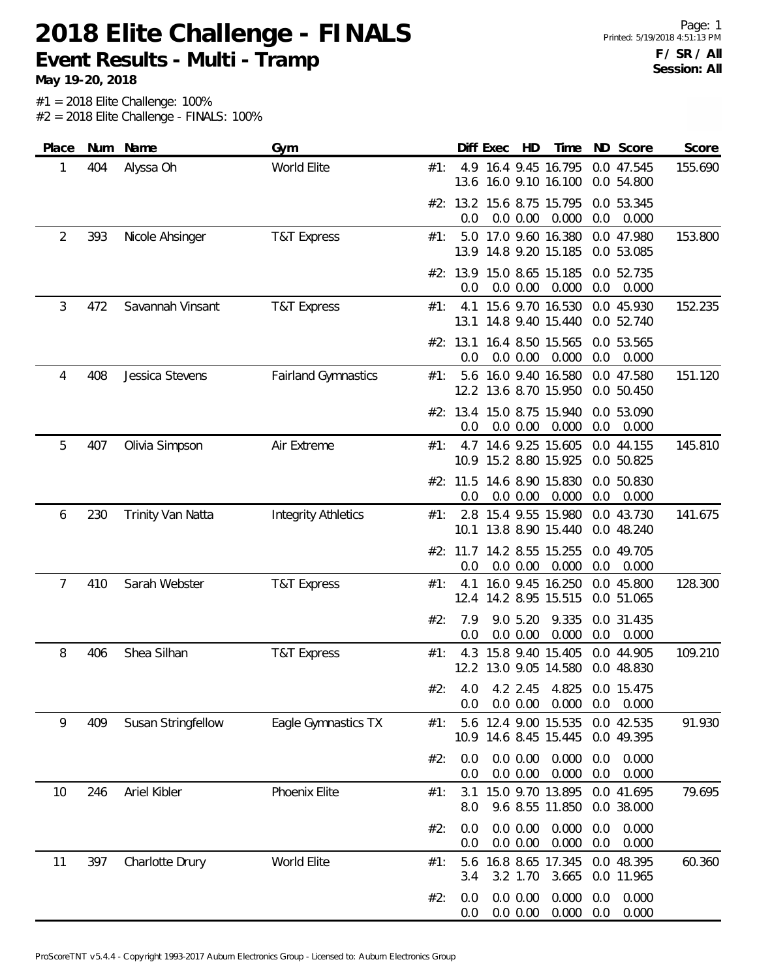**Event Results - Multi - Tramp**

| Place          | Num | Name                     | Gym                        |     |                 | Diff Exec | HD                   | Time                                          |            | ND Score                 | Score   |
|----------------|-----|--------------------------|----------------------------|-----|-----------------|-----------|----------------------|-----------------------------------------------|------------|--------------------------|---------|
| 1              | 404 | Alyssa Oh                | World Elite                | #1: |                 |           |                      | 4.9 16.4 9.45 16.795<br>13.6 16.0 9.10 16.100 |            | 0.0 47.545<br>0.0 54.800 | 155.690 |
|                |     |                          |                            |     | 0.0             |           | 0.0 0.00             | #2: 13.2 15.6 8.75 15.795<br>0.000            | 0.0        | 0.0 53.345<br>0.000      |         |
| $\overline{2}$ | 393 | Nicole Ahsinger          | <b>T&amp;T Express</b>     | #1: |                 |           |                      | 5.0 17.0 9.60 16.380<br>13.9 14.8 9.20 15.185 |            | 0.0 47.980<br>0.0 53.085 | 153.800 |
|                |     |                          |                            |     | 0.0             |           | 0.0 0.00             | #2: 13.9 15.0 8.65 15.185<br>0.000            | 0.0        | 0.0 52.735<br>0.000      |         |
| 3              | 472 | Savannah Vinsant         | <b>T&amp;T Express</b>     | #1: | 4.1             |           |                      | 15.6 9.70 16.530<br>13.1 14.8 9.40 15.440     |            | 0.0 45.930<br>0.0 52.740 | 152.235 |
|                |     |                          |                            |     | #2: 13.1<br>0.0 |           | 0.0 0.00             | 16.4 8.50 15.565<br>0.000                     | 0.0        | 0.0 53.565<br>0.000      |         |
| 4              | 408 | Jessica Stevens          | <b>Fairland Gymnastics</b> | #1: | 5.6             |           |                      | 16.0 9.40 16.580<br>12.2 13.6 8.70 15.950     |            | 0.0 47.580<br>0.0 50.450 | 151.120 |
|                |     |                          |                            |     | 0.0             |           | 0.0 0.00             | #2: 13.4 15.0 8.75 15.940<br>0.000            | 0.0        | 0.0 53.090<br>0.000      |         |
| 5              | 407 | Olivia Simpson           | Air Extreme                | #1: |                 |           |                      | 4.7 14.6 9.25 15.605<br>10.9 15.2 8.80 15.925 |            | 0.0 44.155<br>0.0 50.825 | 145.810 |
|                |     |                          |                            |     | #2: 11.5<br>0.0 |           | 0.0 0.00             | 14.6 8.90 15.830<br>0.000                     | 0.0        | 0.0 50.830<br>0.000      |         |
| 6              | 230 | <b>Trinity Van Natta</b> | <b>Integrity Athletics</b> | #1: |                 |           |                      | 2.8 15.4 9.55 15.980<br>10.1 13.8 8.90 15.440 |            | 0.0 43.730<br>0.0 48.240 | 141.675 |
|                |     |                          |                            |     | 0.0             |           | 0.0 0.00             | #2: 11.7 14.2 8.55 15.255<br>0.000            | 0.0        | 0.0 49.705<br>0.000      |         |
| 7              | 410 | Sarah Webster            | <b>T&amp;T Express</b>     | #1: | 4.1             |           |                      | 16.0 9.45 16.250<br>12.4 14.2 8.95 15.515     |            | 0.0 45.800<br>0.0 51.065 | 128.300 |
|                |     |                          |                            | #2: | 7.9<br>0.0      |           | 9.0 5.20<br>0.0 0.00 | 9.335<br>0.000                                | 0.0        | 0.0 31.435<br>0.000      |         |
| 8              | 406 | Shea Silhan              | <b>T&amp;T Express</b>     | #1: | 4.3             |           |                      | 15.8 9.40 15.405<br>12.2 13.0 9.05 14.580     |            | 0.0 44.905<br>0.0 48.830 | 109.210 |
|                |     |                          |                            | #2: | 4.0<br>0.0      |           | 4.2 2.45<br>0.0 0.00 | 4.825<br>0.000                                | 0.0        | 0.0 15.475<br>0.000      |         |
| 9              | 409 | Susan Stringfellow       | Eagle Gymnastics TX        | #1: |                 |           |                      | 5.6 12.4 9.00 15.535<br>10.9 14.6 8.45 15.445 |            | 0.0 42.535<br>0.0 49.395 | 91.930  |
|                |     |                          |                            | #2: | 0.0<br>0.0      |           | 0.0 0.00<br>0.0 0.00 | 0.000<br>0.000                                | 0.0<br>0.0 | 0.000<br>0.000           |         |
| 10             | 246 | Ariel Kibler             | Phoenix Elite              | #1: | 3.1<br>8.0      |           |                      | 15.0 9.70 13.895<br>9.6 8.55 11.850           |            | 0.0 41.695<br>0.0 38.000 | 79.695  |
|                |     |                          |                            | #2: | 0.0<br>0.0      |           | 0.0 0.00<br>0.0 0.00 | 0.000<br>0.000                                | 0.0<br>0.0 | 0.000<br>0.000           |         |
| 11             | 397 | Charlotte Drury          | World Elite                | #1: | 5.6<br>3.4      |           | 3.2 1.70             | 16.8 8.65 17.345<br>3.665                     |            | 0.0 48.395<br>0.0 11.965 | 60.360  |
|                |     |                          |                            | #2: | 0.0<br>0.0      |           | 0.0 0.00<br>0.0 0.00 | 0.000<br>0.000                                | 0.0<br>0.0 | 0.000<br>0.000           |         |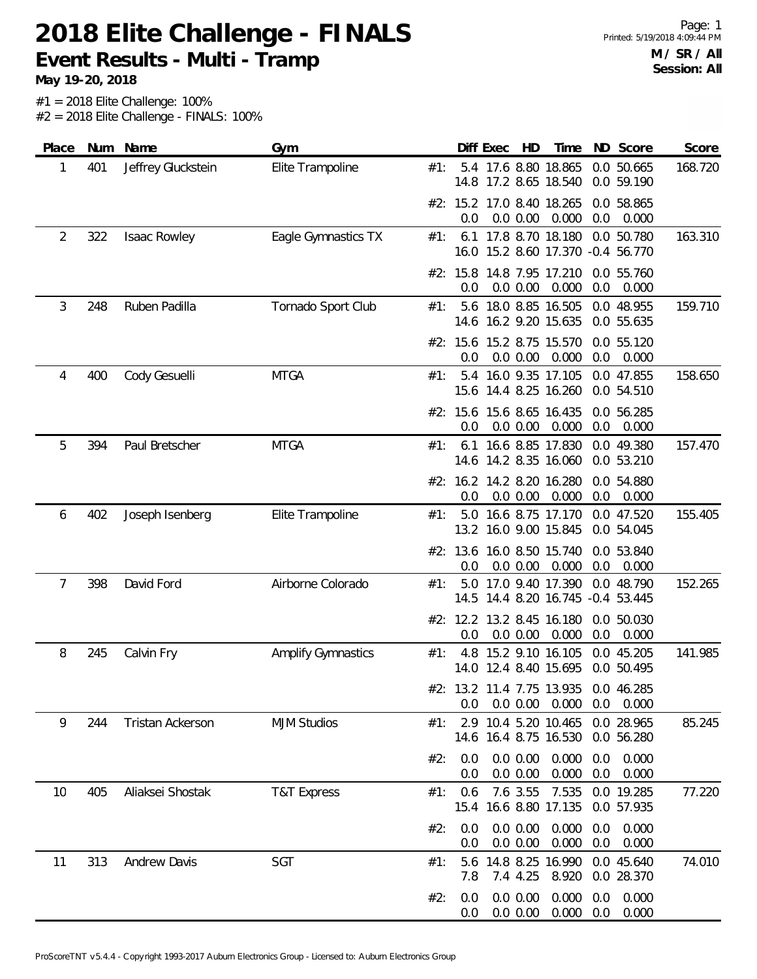**Event Results - Multi - Tramp**

| Place | Num | Name                | Gym                       |     |             | Diff Exec | HD                   | Time                                                      |            | ND Score                 | Score   |
|-------|-----|---------------------|---------------------------|-----|-------------|-----------|----------------------|-----------------------------------------------------------|------------|--------------------------|---------|
| 1     | 401 | Jeffrey Gluckstein  | Elite Trampoline          | #1: |             |           |                      | 5.4 17.6 8.80 18.865<br>14.8 17.2 8.65 18.540             |            | 0.0 50.665<br>0.0 59.190 | 168.720 |
|       |     |                     |                           |     | 0.0         |           | 0.0 0.00             | #2: 15.2 17.0 8.40 18.265<br>0.000                        | 0.0        | 0.0 58.865<br>0.000      |         |
| 2     | 322 | Isaac Rowley        | Eagle Gymnastics TX       | #1: |             |           |                      | 6.1 17.8 8.70 18.180<br>16.0 15.2 8.60 17.370 -0.4 56.770 |            | 0.0 50.780               | 163.310 |
|       |     |                     |                           |     | 0.0         |           | 0.0 0.00             | #2: 15.8 14.8 7.95 17.210<br>0.000                        | 0.0        | 0.0 55.760<br>0.000      |         |
| 3     | 248 | Ruben Padilla       | Tornado Sport Club        | #1: |             |           |                      | 5.6 18.0 8.85 16.505<br>14.6 16.2 9.20 15.635             |            | 0.0 48.955<br>0.0 55.635 | 159.710 |
|       |     |                     |                           |     | 0.0         |           | 0.0 0.00             | #2: 15.6 15.2 8.75 15.570<br>0.000                        | 0.0        | 0.0 55.120<br>0.000      |         |
| 4     | 400 | Cody Gesuelli       | <b>MTGA</b>               | #1: | 5.4         |           |                      | 16.0 9.35 17.105<br>15.6 14.4 8.25 16.260                 |            | 0.0 47.855<br>0.0 54.510 | 158.650 |
|       |     |                     |                           |     | 0.0         |           | 0.0 0.00             | #2: 15.6 15.6 8.65 16.435<br>0.000                        | 0.0        | 0.0 56.285<br>0.000      |         |
| 5     | 394 | Paul Bretscher      | <b>MTGA</b>               | #1: | 6.1         |           |                      | 16.6 8.85 17.830<br>14.6 14.2 8.35 16.060                 |            | 0.0 49.380<br>0.0 53.210 | 157.470 |
|       |     |                     |                           |     | 0.0         |           | 0.0 0.00             | #2: 16.2 14.2 8.20 16.280<br>0.000                        | 0.0        | 0.0 54.880<br>0.000      |         |
| 6     | 402 | Joseph Isenberg     | Elite Trampoline          | #1: |             |           |                      | 5.0 16.6 8.75 17.170<br>13.2 16.0 9.00 15.845             |            | 0.0 47.520<br>0.0 54.045 | 155.405 |
|       |     |                     |                           |     | 0.0         |           | 0.0 0.00             | #2: 13.6 16.0 8.50 15.740<br>0.000                        | 0.0        | 0.0 53.840<br>0.000      |         |
| 7     | 398 | David Ford          | Airborne Colorado         | #1: | 5.0         |           |                      | 17.0 9.40 17.390<br>14.5 14.4 8.20 16.745 -0.4 53.445     |            | 0.0 48.790               | 152.265 |
|       |     |                     |                           |     | 0.0         |           | 0.0 0.00             | #2: 12.2 13.2 8.45 16.180<br>0.000                        | 0.0        | 0.0 50.030<br>0.000      |         |
| 8     | 245 | Calvin Fry          | <b>Amplify Gymnastics</b> | #1: | 4.8         |           |                      | 15.2 9.10 16.105<br>14.0 12.4 8.40 15.695                 |            | 0.0 45.205<br>0.0 50.495 | 141.985 |
|       |     |                     |                           |     | 0.0         |           | 0.0 0.00             | #2: 13.2 11.4 7.75 13.935<br>0.000                        | 0.0        | 0.0 46.285<br>0.000      |         |
| 9     | 244 | Tristan Ackerson    | <b>MJM Studios</b>        | #1: | 2.9         |           |                      | 10.4 5.20 10.465<br>14.6 16.4 8.75 16.530                 |            | 0.0 28.965<br>0.0 56.280 | 85.245  |
|       |     |                     |                           | #2: | 0.0<br>0.0  |           | 0.0 0.00<br>0.0 0.00 | 0.000<br>0.000                                            | 0.0<br>0.0 | 0.000<br>0.000           |         |
| 10    | 405 | Aliaksei Shostak    | <b>T&amp;T Express</b>    | #1: | 0.6<br>15.4 |           | 7.6 3.55             | 7.535<br>16.6 8.80 17.135                                 |            | 0.0 19.285<br>0.0 57.935 | 77.220  |
|       |     |                     |                           | #2: | 0.0<br>0.0  |           | 0.0 0.00<br>0.0 0.00 | 0.000<br>0.000                                            | 0.0<br>0.0 | 0.000<br>0.000           |         |
| 11    | 313 | <b>Andrew Davis</b> | SGT                       | #1: | 5.6<br>7.8  |           | 7.4 4.25             | 14.8 8.25 16.990<br>8.920                                 |            | 0.0 45.640<br>0.0 28.370 | 74.010  |
|       |     |                     |                           | #2: | 0.0<br>0.0  |           | 0.0 0.00<br>0.0 0.00 | 0.000<br>0.000                                            | 0.0<br>0.0 | 0.000<br>0.000           |         |